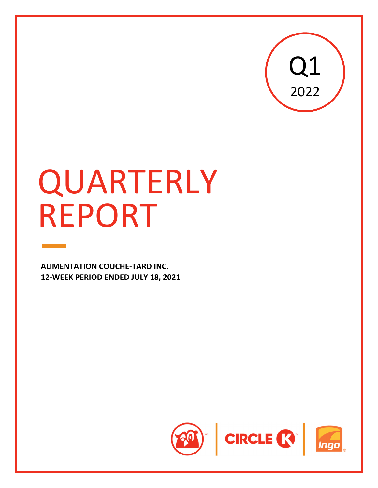

# QUARTERLY REPORT

**ALIMENTATION COUCHE‐TARD INC. 12‐WEEK PERIOD ENDED JULY 18, 2021**

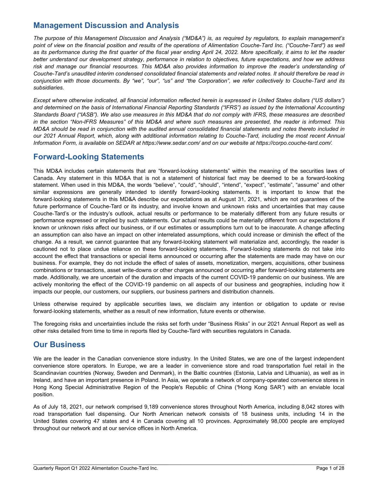# **Management Discussion and Analysis**

*The purpose of this Management Discussion and Analysis ("MD&A") is, as required by regulators, to explain management's*  point of view on the financial position and results of the operations of Alimentation Couche-Tard Inc. ("Couche-Tard") as well *as its performance during the first quarter of the fiscal year ending April 24, 2022. More specifically, it aims to let the reader better understand our development strategy, performance in relation to objectives, future expectations, and how we address risk and manage our financial resources. This MD&A also provides information to improve the reader's understanding of Couche-Tard's unaudited interim condensed consolidated financial statements and related notes. It should therefore be read in conjunction with those documents. By "we", "our", "us" and "the Corporation", we refer collectively to Couche-Tard and its subsidiaries.*

*Except where otherwise indicated, all financial information reflected herein is expressed in United States dollars ("US dollars") and determined on the basis of International Financial Reporting Standards ("IFRS") as issued by the International Accounting Standards Board ("IASB"). We also use measures in this MD&A that do not comply with IFRS, these measures are described in the section "Non-IFRS Measures" of this MD&A and where such measures are presented, the reader is informed. This MD&A should be read in conjunction with the audited annual consolidated financial statements and notes thereto included in our 2021 Annual Report, which, along with additional information relating to Couche-Tard, including the most recent Annual Information Form, is available on SEDAR at https://www.sedar.com/ and on our website at https://corpo.couche-tard.com/.*

# **Forward-Looking Statements**

This MD&A includes certain statements that are "forward-looking statements" within the meaning of the securities laws of Canada. Any statement in this MD&A that is not a statement of historical fact may be deemed to be a forward-looking statement. When used in this MD&A, the words "believe", "could", "should", "intend", "expect", "estimate", "assume" and other similar expressions are generally intended to identify forward-looking statements. It is important to know that the forward-looking statements in this MD&A describe our expectations as at August 31, 2021, which are not guarantees of the future performance of Couche-Tard or its industry, and involve known and unknown risks and uncertainties that may cause Couche‑Tard's or the industry's outlook, actual results or performance to be materially different from any future results or performance expressed or implied by such statements. Our actual results could be materially different from our expectations if known or unknown risks affect our business, or if our estimates or assumptions turn out to be inaccurate. A change affecting an assumption can also have an impact on other interrelated assumptions, which could increase or diminish the effect of the change. As a result, we cannot guarantee that any forward-looking statement will materialize and, accordingly, the reader is cautioned not to place undue reliance on these forward-looking statements. Forward-looking statements do not take into account the effect that transactions or special items announced or occurring after the statements are made may have on our business. For example, they do not include the effect of sales of assets, monetization, mergers, acquisitions, other business combinations or transactions, asset write-downs or other charges announced or occurring after forward-looking statements are made. Additionally, we are uncertain of the duration and impacts of the current COVID-19 pandemic on our business. We are actively monitoring the effect of the COVID-19 pandemic on all aspects of our business and geographies, including how it impacts our people, our customers, our suppliers, our business partners and distribution channels.

Unless otherwise required by applicable securities laws, we disclaim any intention or obligation to update or revise forward-looking statements, whether as a result of new information, future events or otherwise.

The foregoing risks and uncertainties include the risks set forth under "Business Risks" in our 2021 Annual Report as well as other risks detailed from time to time in reports filed by Couche-Tard with securities regulators in Canada.

# **Our Business**

We are the leader in the Canadian convenience store industry. In the United States, we are one of the largest independent convenience store operators. In Europe, we are a leader in convenience store and road transportation fuel retail in the Scandinavian countries (Norway, Sweden and Denmark), in the Baltic countries (Estonia, Latvia and Lithuania), as well as in Ireland, and have an important presence in Poland. In Asia, we operate a network of company-operated convenience stores in Hong Kong Special Administrative Region of the People's Republic of China (*"*Hong Kong SAR*"*) with an enviable local position.

As of July 18, 2021, our network comprised 9,189 convenience stores throughout North America, including 8,042 stores with road transportation fuel dispensing. Our North American network consists of 18 business units, including 14 in the United States covering 47 states and 4 in Canada covering all 10 provinces. Approximately 98,000 people are employed throughout our network and at our service offices in North America.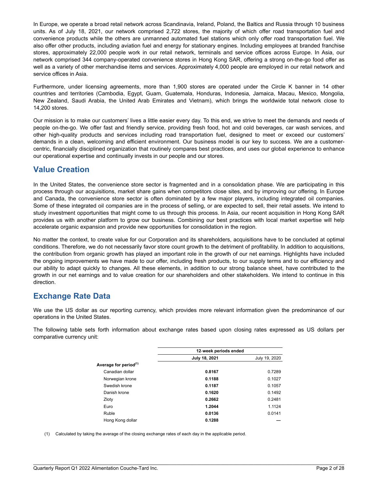In Europe, we operate a broad retail network across Scandinavia, Ireland, Poland, the Baltics and Russia through 10 business units. As of July 18, 2021, our network comprised 2,722 stores, the majority of which offer road transportation fuel and convenience products while the others are unmanned automated fuel stations which only offer road transportation fuel. We also offer other products, including aviation fuel and energy for stationary engines. Including employees at branded franchise stores, approximately 22,000 people work in our retail network, terminals and service offices across Europe. In Asia, our network comprised 344 company-operated convenience stores in Hong Kong SAR, offering a strong on-the-go food offer as well as a variety of other merchandise items and services. Approximately 4,000 people are employed in our retail network and service offices in Asia.

Furthermore, under licensing agreements, more than 1,900 stores are operated under the Circle K banner in 14 other countries and territories (Cambodia, Egypt, Guam, Guatemala, Honduras, Indonesia, Jamaica, Macau, Mexico, Mongolia, New Zealand, Saudi Arabia, the United Arab Emirates and Vietnam), which brings the worldwide total network close to 14,200 stores.

Our mission is to make our customers' lives a little easier every day. To this end, we strive to meet the demands and needs of people on-the-go. We offer fast and friendly service, providing fresh food, hot and cold beverages, car wash services, and other high-quality products and services including road transportation fuel, designed to meet or exceed our customers' demands in a clean, welcoming and efficient environment. Our business model is our key to success. We are a customercentric, financially disciplined organization that routinely compares best practices, and uses our global experience to enhance our operational expertise and continually invests in our people and our stores.

# **Value Creation**

In the United States, the convenience store sector is fragmented and in a consolidation phase. We are participating in this process through our acquisitions, market share gains when competitors close sites, and by improving our offering. In Europe and Canada, the convenience store sector is often dominated by a few major players, including integrated oil companies. Some of these integrated oil companies are in the process of selling, or are expected to sell, their retail assets. We intend to study investment opportunities that might come to us through this process. In Asia, our recent acquisition in Hong Kong SAR provides us with another platform to grow our business. Combining our best practices with local market expertise will help accelerate organic expansion and provide new opportunities for consolidation in the region.

No matter the context, to create value for our Corporation and its shareholders, acquisitions have to be concluded at optimal conditions. Therefore, we do not necessarily favor store count growth to the detriment of profitability. In addition to acquisitions, the contribution from organic growth has played an important role in the growth of our net earnings. Highlights have included the ongoing improvements we have made to our offer, including fresh products, to our supply terms and to our efficiency and our ability to adapt quickly to changes. All these elements, in addition to our strong balance sheet, have contributed to the growth in our net earnings and to value creation for our shareholders and other stakeholders. We intend to continue in this direction.

# **Exchange Rate Data**

We use the US dollar as our reporting currency, which provides more relevant information given the predominance of our operations in the United States.

The following table sets forth information about exchange rates based upon closing rates expressed as US dollars per comparative currency unit:

|                                   | 12-week periods ended |               |
|-----------------------------------|-----------------------|---------------|
|                                   | July 18, 2021         | July 19, 2020 |
| Average for period <sup>(1)</sup> |                       |               |
| Canadian dollar                   | 0.8167                | 0.7289        |
| Norwegian krone                   | 0.1188                | 0.1027        |
| Swedish krone                     | 0.1187                | 0.1057        |
| Danish krone                      | 0.1620                | 0.1492        |
| Zloty                             | 0.2662                | 0.2481        |
| Euro                              | 1.2044                | 1.1124        |
| Ruble                             | 0.0136                | 0.0141        |
| Hong Kong dollar                  | 0.1288                |               |
|                                   |                       |               |

\_\_\_\_\_\_\_\_\_\_\_\_\_\_\_\_\_\_\_\_\_\_\_\_\_\_\_\_\_\_\_\_\_\_\_\_\_\_\_\_\_\_\_\_\_\_\_\_\_\_\_\_\_\_\_\_\_\_\_\_\_\_\_\_\_\_\_\_\_\_\_\_\_\_

(1) Calculated by taking the average of the closing exchange rates of each day in the applicable period.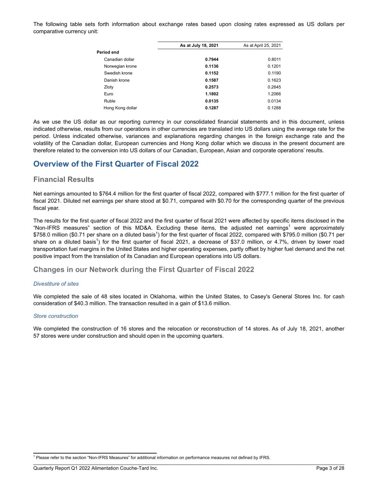The following table sets forth information about exchange rates based upon closing rates expressed as US dollars per comparative currency unit:

|                  | As at July 18, 2021 | As at April 25, 2021 |
|------------------|---------------------|----------------------|
| Period end       |                     |                      |
| Canadian dollar  | 0.7944              | 0.8011               |
| Norwegian krone  | 0.1136              | 0.1201               |
| Swedish krone    | 0.1152              | 0.1190               |
| Danish krone     | 0.1587              | 0.1623               |
| Zloty            | 0.2573              | 0.2645               |
| Euro             | 1.1802              | 1.2066               |
| Ruble            | 0.0135              | 0.0134               |
| Hong Kong dollar | 0.1287              | 0.1288               |
|                  |                     |                      |

As we use the US dollar as our reporting currency in our consolidated financial statements and in this document, unless indicated otherwise, results from our operations in other currencies are translated into US dollars using the average rate for the period. Unless indicated otherwise, variances and explanations regarding changes in the foreign exchange rate and the volatility of the Canadian dollar, European currencies and Hong Kong dollar which we discuss in the present document are therefore related to the conversion into US dollars of our Canadian, European, Asian and corporate operations' results.

# **Overview of the First Quarter of Fiscal 2022**

## **Financial Results**

Net earnings amounted to \$764.4 million for the first quarter of fiscal 2022, compared with \$777.1 million for the first quarter of fiscal 2021. Diluted net earnings per share stood at \$0.71, compared with \$0.70 for the corresponding quarter of the previous fiscal year.

The results for the first quarter of fiscal 2022 and the first quarter of fiscal 2021 were affected by specific items disclosed in the "Non-IFRS measures" section of this MD&A. Excluding these items, the adjusted net earnings<sup>1</sup> were approximately \$758.0 million (\$0.71 per share on a diluted basis<sup>1</sup>) for the first quarter of fiscal 2022, compared with \$795.0 million (\$0.71 per share on a diluted basis<sup>1</sup>) for the first quarter of fiscal 2021, a decrease of \$37.0 million, or 4.7%, driven by lower road transportation fuel margins in the United States and higher operating expenses, partly offset by higher fuel demand and the net positive impact from the translation of its Canadian and European operations into US dollars.

## **Changes in our Network during the First Quarter of Fiscal 2022**

#### *Divestiture of sites*

We completed the sale of 48 sites located in Oklahoma, within the United States, to Casey's General Stores Inc. for cash consideration of \$40.3 million. The transaction resulted in a gain of \$13.6 million.

#### *Store construction*

We completed the construction of 16 stores and the relocation or reconstruction of 14 stores. As of July 18, 2021, another 57 stores were under construction and should open in the upcoming quarters.

\_\_\_\_\_\_\_\_\_\_\_\_\_\_\_\_\_\_\_\_\_\_\_\_\_\_\_\_\_\_\_\_\_\_\_\_\_\_\_\_\_\_\_\_\_\_\_\_\_\_\_\_\_\_\_\_\_\_\_\_\_\_\_\_\_\_\_\_\_\_\_\_\_\_

<sup>&</sup>lt;sup>1</sup> Please refer to the section "Non-IFRS Measures" for additional information on performance measures not defined by IFRS.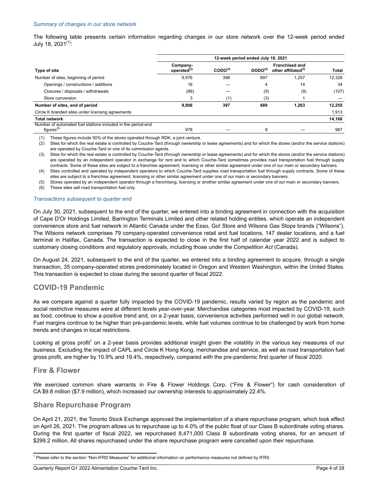The following table presents certain information regarding changes in our store network over the 12-week period ended July 18,  $2021^{(1)}$ :

|                                                                                  | 12-week period ended July 18, 2021 |              |                     |                                                          |        |
|----------------------------------------------------------------------------------|------------------------------------|--------------|---------------------|----------------------------------------------------------|--------|
| <b>Type of site</b>                                                              | Company-<br>operated $^{(2)}$      | $CODO^{(3)}$ | DODO <sup>(4)</sup> | <b>Franchised and</b><br>other affiliated <sup>(5)</sup> | Total  |
| Number of sites, beginning of period                                             | 9,976                              | 398          | 697                 | 1,257                                                    | 12.328 |
| Openings / constructions / additions                                             | 16                                 |              | 4                   | 14                                                       | 34     |
| Closures / disposals / withdrawals                                               | (89)                               |              | (9)                 | (9)                                                      | (107)  |
| Store conversion                                                                 |                                    | (1)          | (3)                 |                                                          |        |
| Number of sites, end of period                                                   | 9,906                              | 397          | 689                 | 1.263                                                    | 12,255 |
| Circle K branded sites under licensing agreements                                |                                    |              |                     |                                                          | 1,913  |
| <b>Total network</b>                                                             |                                    |              |                     |                                                          | 14,168 |
| Number of automated fuel stations included in the period-end<br>figures $^{(6)}$ | 978                                |              | 9                   |                                                          | 987    |

(1) These figures include 50% of the stores operated through RDK, a joint venture.

(2) Sites for which the real estate is controlled by Couche-Tard (through ownership or lease agreements) and for which the stores (and/or the service stations) are operated by Couche-Tard or one of its commission agents.

(3) Sites for which the real estate is controlled by Couche-Tard (through ownership or lease agreements) and for which the stores (and/or the service stations) are operated by an independent operator in exchange for rent and to which Couche-Tard sometimes provides road transportation fuel through supply contracts. Some of these sites are subject to a franchise agreement, licensing or other similar agreement under one of our main or secondary banners.

(4) Sites controlled and operated by independent operators to which Couche-Tard supplies road transportation fuel through supply contracts. Some of these sites are subject to a franchise agreement, licensing or other similar agreement under one of our main or secondary banners.

Stores operated by an independent operator through a franchising, licensing or another similar agreement under one of our main or secondary banners.

(6) These sites sell road transportation fuel only.

#### *Transactions subsequent to quarter end*

On July 30, 2021, subsequent to the end of the quarter, we entered into a binding agreement in connection with the acquisition of Cape D'Or Holdings Limited, Barrington Terminals Limited and other related holding entities, which operate an independent convenience store and fuel network in Atlantic Canada under the Esso, Go! Store and Wilsons Gas Stops brands ("Wilsons"). The Wilsons network comprises 79 company-operated convenience retail and fuel locations, 147 dealer locations, and a fuel terminal in Halifax, Canada. The transaction is expected to close in the first half of calendar year 2022 and is subject to customary closing conditions and regulatory approvals, including those under the *Competition Act* (Canada).

On August 24, 2021, subsequent to the end of the quarter, we entered into a binding agreement to acquire, through a single transaction, 35 company-operated stores predominately located in Oregon and Western Washington, within the United States. This transaction is expected to close during the second quarter of fiscal 2022.

## **COVID-19 Pandemic**

As we compare against a quarter fully impacted by the COVID-19 pandemic, results varied by region as the pandemic and social restrictive measures were at different levels year-over-year. Merchandise categories most impacted by COVID-19, such as food, continue to show a positive trend and, on a 2-year basis, convenience activities performed well in our global network. Fuel margins continue to be higher than pre-pandemic levels, while fuel volumes continue to be challenged by work from home trends and changes in local restrictions.

Looking at gross profit<sup>1</sup> on a 2-year basis provides additional insight given the volatility in the various key measures of our business. Excluding the impact of CAPL and Circle K Hong Kong, merchandise and service, as well as road transportation fuel gross profit, are higher by 10.9% and 19.4%, respectively, compared with the pre-pandemic first quarter of fiscal 2020.

## **Fire & Flower**

We exercised common share warrants in Fire & Flower Holdings Corp. ("Fire & Flower") for cash consideration of CA \$9.8 million (\$7.9 million), which increased our ownership interests to approximately 22.4%.

## **Share Repurchase Program**

On April 21, 2021, the Toronto Stock Exchange approved the implementation of a share repurchase program, which took effect on April 26, 2021. The program allows us to repurchase up to 4.0% of the public float of our Class B subordinate voting shares. During the first quarter of fiscal 2022, we repurchased 8,471,000 Class B subordinate voting shares, for an amount of \$299.2 million. All shares repurchased under the share repurchase program were cancelled upon their repurchase.

\_\_\_\_\_\_\_\_\_\_\_\_\_\_\_\_\_\_\_\_\_\_\_\_\_\_\_\_\_\_\_\_\_\_\_\_\_\_\_\_\_\_\_\_\_\_\_\_\_\_\_\_\_\_\_\_\_\_\_\_\_\_\_\_\_\_\_\_\_\_\_\_\_\_

<sup>1</sup> Please refer to the section "Non-IFRS Measures" for additional information on performance measures not defined by IFRS.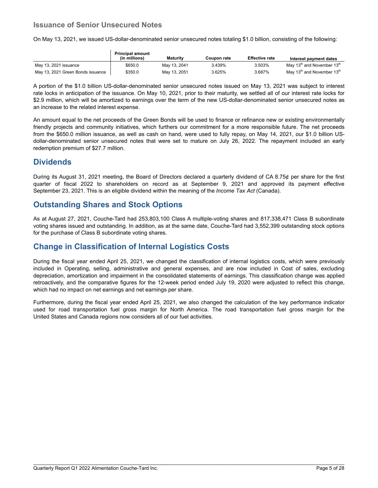# **Issuance of Senior Unsecured Notes**

On May 13, 2021, we issued US-dollar-denominated senior unsecured notes totaling \$1.0 billion, consisting of the following:

|                                   | <b>Principal amount</b><br>(in millions) | Maturity     | Coupon rate | <b>Effective rate</b> | Interest payment dates                             |
|-----------------------------------|------------------------------------------|--------------|-------------|-----------------------|----------------------------------------------------|
| May 13, 2021 issuance             | \$650.0                                  | May 13, 2041 | 3.439%      | 3.503%                | May 13 <sup>th</sup> and November 13 <sup>th</sup> |
| May 13, 2021 Green Bonds issuance | \$350.0                                  | May 13, 2051 | 3.625%      | 3.687%                | May 13 <sup>th</sup> and November 13 <sup>th</sup> |

A portion of the \$1.0 billion US-dollar-denominated senior unsecured notes issued on May 13, 2021 was subject to interest rate locks in anticipation of the issuance. On May 10, 2021, prior to their maturity, we settled all of our interest rate locks for \$2.9 million, which will be amortized to earnings over the term of the new US-dollar-denominated senior unsecured notes as an increase to the related interest expense.

An amount equal to the net proceeds of the Green Bonds will be used to finance or refinance new or existing environmentally friendly projects and community initiatives, which furthers our commitment for a more responsible future. The net proceeds from the \$650.0 million issuance, as well as cash on hand, were used to fully repay, on May 14, 2021, our \$1.0 billion USdollar-denominated senior unsecured notes that were set to mature on July 26, 2022. The repayment included an early redemption premium of \$27.7 million.

# **Dividends**

During its August 31, 2021 meeting, the Board of Directors declared a quarterly dividend of CA 8.75¢ per share for the first quarter of fiscal 2022 to shareholders on record as at September 9, 2021 and approved its payment effective September 23, 2021. This is an eligible dividend within the meaning of the *Income Tax Act* (Canada).

# **Outstanding Shares and Stock Options**

As at August 27, 2021, Couche-Tard had 253,803,100 Class A multiple-voting shares and 817,338,471 Class B subordinate voting shares issued and outstanding. In addition, as at the same date, Couche-Tard had 3,552,399 outstanding stock options for the purchase of Class B subordinate voting shares.

# **Change in Classification of Internal Logistics Costs**

During the fiscal year ended April 25, 2021, we changed the classification of internal logistics costs, which were previously included in Operating, selling, administrative and general expenses, and are now included in Cost of sales, excluding depreciation, amortization and impairment in the consolidated statements of earnings. This classification change was applied retroactively, and the comparative figures for the 12-week period ended July 19, 2020 were adjusted to reflect this change, which had no impact on net earnings and net earnings per share.

Furthermore, during the fiscal year ended April 25, 2021, we also changed the calculation of the key performance indicator used for road transportation fuel gross margin for North America. The road transportation fuel gross margin for the United States and Canada regions now considers all of our fuel activities.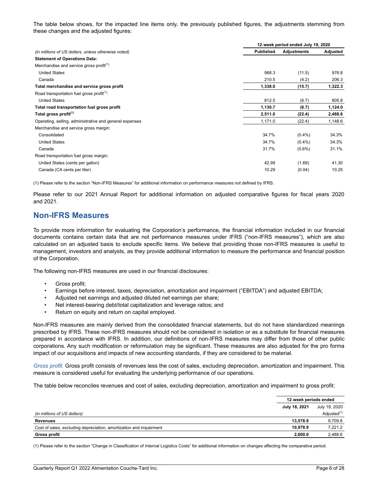The table below shows, for the impacted line items only, the previously published figures, the adjustments stemming from these changes and the adjusted figures:

|                                                         |                  | 12-week period ended July 19, 2020 |          |  |  |
|---------------------------------------------------------|------------------|------------------------------------|----------|--|--|
| (in millions of US dollars, unless otherwise noted)     | <b>Published</b> | <b>Adjustments</b>                 | Adjusted |  |  |
| <b>Statement of Operations Data:</b>                    |                  |                                    |          |  |  |
| Merchandise and service gross profit <sup>(1)</sup> :   |                  |                                    |          |  |  |
| <b>United States</b>                                    | 988.3            | (11.5)                             | 976.8    |  |  |
| Canada                                                  | 210.5            | (4.2)                              | 206.3    |  |  |
| Total merchandise and service gross profit              | 1,338.0          | (15.7)                             | 1,322.3  |  |  |
| Road transportation fuel gross profit <sup>(1)</sup> :  |                  |                                    |          |  |  |
| <b>United States</b>                                    | 812.5            | (6.7)                              | 805.8    |  |  |
| Total road transportation fuel gross profit             | 1,130.7          | (6.7)                              | 1,124.0  |  |  |
| Total gross profit $(1)$                                | 2,511.0          | (22.4)                             | 2,488.6  |  |  |
| Operating, selling, administrative and general expenses | 1,171.0          | (22.4)                             | 1,148.6  |  |  |
| Merchandise and service gross margin:                   |                  |                                    |          |  |  |
| Consolidated                                            | 34.7%            | $(0.4\%)$                          | 34.3%    |  |  |
| <b>United States</b>                                    | 34.7%            | $(0.4\%)$                          | 34.3%    |  |  |
| Canada                                                  | 31.7%            | $(0.6\%)$                          | 31.1%    |  |  |
| Road transportation fuel gross margin:                  |                  |                                    |          |  |  |
| United States (cents per gallon)                        | 42.99            | (1.69)                             | 41.30    |  |  |
| Canada (CA cents per liter)                             | 10.29            | (0.04)                             | 10.25    |  |  |

(1) Please refer to the section "Non-IFRS Measures" for additional information on performance measures not defined by IFRS.

Please refer to our 2021 Annual Report for additional information on adjusted comparative figures for fiscal years 2020 and 2021.

## **Non-IFRS Measures**

To provide more information for evaluating the Corporation's performance, the financial information included in our financial documents contains certain data that are not performance measures under IFRS ("non-IFRS measures"), which are also calculated on an adjusted basis to exclude specific items. We believe that providing those non-IFRS measures is useful to management, investors and analysts, as they provide additional information to measure the performance and financial position of the Corporation.

The following non-IFRS measures are used in our financial disclosures:

- Gross profit;
- Earnings before interest, taxes, depreciation, amortization and impairment ("EBITDA") and adjusted EBITDA;
- Adjusted net earnings and adjusted diluted net earnings per share;
- Net interest-bearing debt/total capitalization and leverage ratios; and
- Return on equity and return on capital employed.

Non-IFRS measures are mainly derived from the consolidated financial statements, but do not have standardized meanings prescribed by IFRS. These non-IFRS measures should not be considered in isolation or as a substitute for financial measures prepared in accordance with IFRS. In addition, our definitions of non-IFRS measures may differ from those of other public corporations. Any such modification or reformulation may be significant. These measures are also adjusted for the pro forma impact of our acquisitions and impacts of new accounting standards, if they are considered to be material.

*Gross profit.* Gross profit consists of revenues less the cost of sales, excluding depreciation, amortization and impairment. This measure is considered useful for evaluating the underlying performance of our operations.

The table below reconciles revenues and cost of sales, excluding depreciation, amortization and impairment to gross profit:

|                                                                    | 12-week periods ended |                         |
|--------------------------------------------------------------------|-----------------------|-------------------------|
|                                                                    | July 18, 2021         | July 19, 2020           |
| (in millions of US dollars)                                        |                       | Adjusted <sup>(1)</sup> |
| Revenues                                                           | 13.578.9              | 9.709.8                 |
| Cost of sales, excluding depreciation, amortization and impairment | 10.978.9              | 7.221.2                 |
| Gross profit                                                       | 2.600.0               | 2.488.6                 |

\_\_\_\_\_\_\_\_\_\_\_\_\_\_\_\_\_\_\_\_\_\_\_\_\_\_\_\_\_\_\_\_\_\_\_\_\_\_\_\_\_\_\_\_\_\_\_\_\_\_\_\_\_\_\_\_\_\_\_\_\_\_\_\_\_\_\_\_\_\_\_\_\_\_

(1) Please refer to the section "Change in Classification of Internal Logistics Costs" for additional information on changes affecting the comparative period.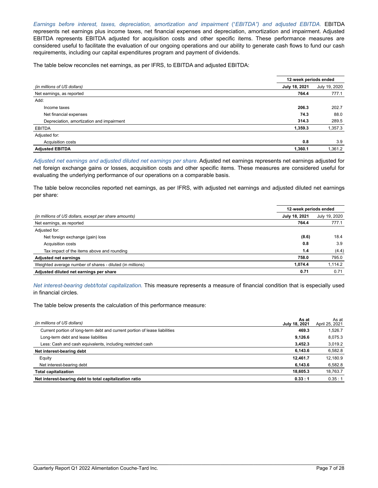*Earnings before interest, taxes, depreciation, amortization and impairment* ("*EBITDA") and adjusted EBITDA.* EBITDA represents net earnings plus income taxes, net financial expenses and depreciation, amortization and impairment. Adjusted EBITDA represents EBITDA adjusted for acquisition costs and other specific items. These performance measures are considered useful to facilitate the evaluation of our ongoing operations and our ability to generate cash flows to fund our cash requirements, including our capital expenditures program and payment of dividends.

The table below reconciles net earnings, as per IFRS, to EBITDA and adjusted EBITDA:

|                                           | 12-week periods ended |               |
|-------------------------------------------|-----------------------|---------------|
| (in millions of US dollars)               | July 18, 2021         | July 19, 2020 |
| Net earnings, as reported                 | 764.4                 | 777.1         |
| Add:                                      |                       |               |
| Income taxes                              | 206.3                 | 202.7         |
| Net financial expenses                    | 74.3                  | 88.0          |
| Depreciation, amortization and impairment | 314.3                 | 289.5         |
| <b>EBITDA</b>                             | 1,359.3               | 1,357.3       |
| Adjusted for:                             |                       |               |
| Acquisition costs                         | 0.8                   | 3.9           |
| <b>Adjusted EBITDA</b>                    | 1,360.1               | 1,361.2       |

*Adjusted net earnings and adjusted diluted net earnings per share.* Adjusted net earnings represents net earnings adjusted for net foreign exchange gains or losses, acquisition costs and other specific items. These measures are considered useful for evaluating the underlying performance of our operations on a comparable basis.

The table below reconciles reported net earnings, as per IFRS, with adjusted net earnings and adjusted diluted net earnings per share:

|                                                           | 12-week periods ended |               |
|-----------------------------------------------------------|-----------------------|---------------|
| (in millions of US dollars, except per share amounts)     | July 18, 2021         | July 19, 2020 |
| Net earnings, as reported                                 | 764.4                 | 777.1         |
| Adjusted for:                                             |                       |               |
| Net foreign exchange (gain) loss                          | (8.6)                 | 18.4          |
| Acquisition costs                                         | 0.8                   | 3.9           |
| Tax impact of the items above and rounding                | 1.4                   | (4.4)         |
| <b>Adjusted net earnings</b>                              | 758.0                 | 795.0         |
| Weighted average number of shares - diluted (in millions) | 1.074.4               | 1,114.2       |
| Adjusted diluted net earnings per share                   | 0.71                  | 0.71          |

*Net interest-bearing debt/total capitalization.* This measure represents a measure of financial condition that is especially used in financial circles.

The table below presents the calculation of this performance measure:

| As at<br>(in millions of US dollars)<br>July 18, 2021                               | As at<br>April 25, 2021 |
|-------------------------------------------------------------------------------------|-------------------------|
| Current portion of long-term debt and current portion of lease liabilities<br>469.3 | 1.526.7                 |
| Long-term debt and lease liabilities<br>9.126.6                                     | 8.075.3                 |
| Less: Cash and cash equivalents, including restricted cash<br>3.452.3               | 3.019.2                 |
| 6.143.6<br>Net interest-bearing debt                                                | 6,582.8                 |
| Equity<br>12,461.7                                                                  | 12.180.9                |
| 6.143.6<br>Net interest-bearing debt                                                | 6,582.8                 |
| 18.605.3<br><b>Total capitalization</b>                                             | 18,763.7                |
| Net interest-bearing debt to total capitalization ratio<br>0.33:1                   | 0.35:1                  |

\_\_\_\_\_\_\_\_\_\_\_\_\_\_\_\_\_\_\_\_\_\_\_\_\_\_\_\_\_\_\_\_\_\_\_\_\_\_\_\_\_\_\_\_\_\_\_\_\_\_\_\_\_\_\_\_\_\_\_\_\_\_\_\_\_\_\_\_\_\_\_\_\_\_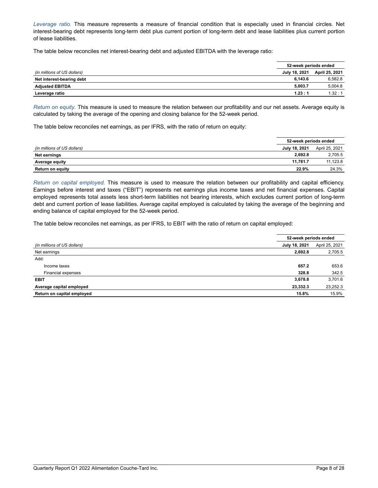*Leverage ratio.* This measure represents a measure of financial condition that is especially used in financial circles. Net interest-bearing debt represents long-term debt plus current portion of long-term debt and lease liabilities plus current portion of lease liabilities.

The table below reconciles net interest-bearing debt and adjusted EBITDA with the leverage ratio:

|                             | 52-week periods ended |                              |
|-----------------------------|-----------------------|------------------------------|
| (in millions of US dollars) |                       | July 18, 2021 April 25, 2021 |
| Net interest-bearing debt   | 6.143.6               | 6.582.8                      |
| <b>Adjusted EBITDA</b>      | 5.003.7               | 5,004.8                      |
| Leverage ratio              | 1.23:1                | 1.32:1                       |

*Return on equity.* This measure is used to measure the relation between our profitability and our net assets. Average equity is calculated by taking the average of the opening and closing balance for the 52-week period.

The table below reconciles net earnings, as per IFRS, with the ratio of return on equity:

|                             | 52-week periods ended |                |
|-----------------------------|-----------------------|----------------|
|                             |                       |                |
| (in millions of US dollars) | July 18, 2021         | April 25, 2021 |
| Net earnings                | 2.692.8               | 2,705.5        |
| Average equity              | 11.781.7              | 11.123.8       |
| <b>Return on equity</b>     | 22.9%                 | 24.3%          |

*Return on capital employed.* This measure is used to measure the relation between our profitability and capital efficiency. Earnings before interest and taxes ("EBIT") represents net earnings plus income taxes and net financial expenses. Capital employed represents total assets less short-term liabilities not bearing interests, which excludes current portion of long-term debt and current portion of lease liabilities. Average capital employed is calculated by taking the average of the beginning and ending balance of capital employed for the 52-week period.

The table below reconciles net earnings, as per IFRS, to EBIT with the ratio of return on capital employed:

|                             | 52-week periods ended |                |
|-----------------------------|-----------------------|----------------|
| (in millions of US dollars) | July 18, 2021         | April 25, 2021 |
| Net earnings                | 2,692.8               | 2,705.5        |
| Add:                        |                       |                |
| Income taxes                | 657.2                 | 653.6          |
| Financial expenses          | 328.8                 | 342.5          |
| <b>EBIT</b>                 | 3,678.8               | 3,701.6        |
| Average capital employed    | 23,332.3              | 23,252.3       |
| Return on capital employed  | 15.8%                 | 15.9%          |

\_\_\_\_\_\_\_\_\_\_\_\_\_\_\_\_\_\_\_\_\_\_\_\_\_\_\_\_\_\_\_\_\_\_\_\_\_\_\_\_\_\_\_\_\_\_\_\_\_

\_\_\_\_\_\_\_\_\_\_\_\_\_\_\_\_\_\_\_\_\_\_\_\_\_\_\_\_\_\_\_\_\_\_\_\_\_\_\_\_\_\_\_\_\_\_\_\_\_\_\_\_\_\_\_\_\_\_\_\_\_\_\_\_\_\_\_\_\_\_\_\_\_\_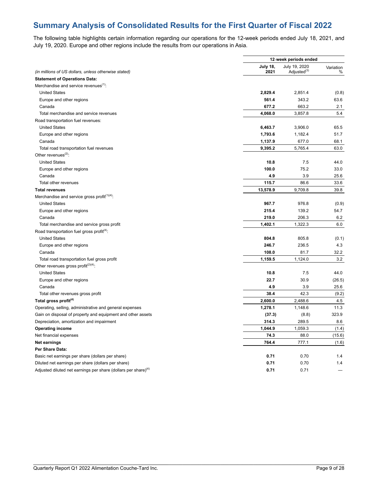# **Summary Analysis of Consolidated Results for the First Quarter of Fiscal 2022**

The following table highlights certain information regarding our operations for the 12-week periods ended July 18, 2021, and July 19, 2020. Europe and other regions include the results from our operations in Asia.

|                                                                            | 12-week periods ended |                         |           |
|----------------------------------------------------------------------------|-----------------------|-------------------------|-----------|
|                                                                            | July 18,              | July 19, 2020           | Variation |
| (in millions of US dollars, unless otherwise stated)                       | 2021                  | Adjusted <sup>(3)</sup> | %         |
| <b>Statement of Operations Data:</b>                                       |                       |                         |           |
| Merchandise and service revenues <sup>(1)</sup> :                          |                       |                         |           |
| <b>United States</b>                                                       | 2,829.4               | 2,851.4                 | (0.8)     |
| Europe and other regions                                                   | 561.4                 | 343.2                   | 63.6      |
| Canada                                                                     | 677.2                 | 663.2                   | 2.1       |
| Total merchandise and service revenues                                     | 4,068.0               | 3,857.8                 | 5.4       |
| Road transportation fuel revenues:                                         |                       |                         |           |
| <b>United States</b>                                                       | 6,463.7               | 3,906.0                 | 65.5      |
| Europe and other regions                                                   | 1,793.6               | 1,182.4                 | 51.7      |
| Canada                                                                     | 1,137.9               | 677.0                   | 68.1      |
| Total road transportation fuel revenues                                    | 9,395.2               | 5,765.4                 | 63.0      |
| Other revenues $(2)$ :                                                     |                       |                         |           |
| <b>United States</b>                                                       | 10.8                  | 7.5                     | 44.0      |
| Europe and other regions                                                   | 100.0                 | 75.2                    | 33.0      |
| Canada                                                                     | 4.9                   | 3.9                     | 25.6      |
| Total other revenues                                                       | 115.7                 | 86.6                    | 33.6      |
| <b>Total revenues</b>                                                      | 13,578.9              | 9,709.8                 | 39.8      |
| Merchandise and service gross profit $(1)(4)$ .                            |                       |                         |           |
| <b>United States</b>                                                       | 967.7                 | 976.8                   | (0.9)     |
| Europe and other regions                                                   | 215.4                 | 139.2                   | 54.7      |
| Canada                                                                     | 219.0                 | 206.3                   | 6.2       |
| Total merchandise and service gross profit                                 | 1,402.1               | 1,322.3                 | 6.0       |
| Road transportation fuel gross profit <sup>(4)</sup> :                     |                       |                         |           |
| <b>United States</b>                                                       |                       |                         |           |
|                                                                            | 804.8                 | 805.8                   | (0.1)     |
| Europe and other regions                                                   | 246.7                 | 236.5                   | 4.3       |
| Canada                                                                     | 108.0                 | 81.7                    | 32.2      |
| Total road transportation fuel gross profit                                | 1,159.5               | 1,124.0                 | 3.2       |
| Other revenues gross profit $(2)(4)$ .                                     |                       |                         |           |
| <b>United States</b>                                                       | 10.8                  | 7.5                     | 44.0      |
| Europe and other regions                                                   | 22.7                  | 30.9                    | (26.5)    |
| Canada                                                                     | 4.9                   | 3.9                     | 25.6      |
| Total other revenues gross profit                                          | 38.4                  | 42.3                    | (9.2)     |
| Total gross profit <sup>(4)</sup>                                          | 2,600.0               | 2,488.6                 | 4.5       |
| Operating, selling, administrative and general expenses                    | 1,278.1               | 1,148.6                 | 11.3      |
| Gain on disposal of property and equipment and other assets                | (37.3)                | (8.8)                   | 323.9     |
| Depreciation, amortization and impairment                                  | 314.3                 | 289.5                   | 8.6       |
| <b>Operating income</b>                                                    | 1,044.9               | 1,059.3                 | (1.4)     |
| Net financial expenses                                                     | 74.3                  | 88.0                    | (15.6)    |
| <b>Net earnings</b>                                                        | 764.4                 | 777.1                   | (1.6)     |
| Per Share Data:                                                            |                       |                         |           |
| Basic net earnings per share (dollars per share)                           | 0.71                  | 0.70                    | 1.4       |
| Diluted net earnings per share (dollars per share)                         | 0.71                  | 0.70                    | 1.4       |
| Adjusted diluted net earnings per share (dollars per share) <sup>(4)</sup> | 0.71                  | 0.71                    |           |

\_\_\_\_\_\_\_\_\_\_\_\_\_\_\_\_\_\_\_\_\_\_\_\_\_\_\_\_\_\_\_\_\_\_\_\_\_\_\_\_\_\_\_\_\_\_\_\_\_

\_\_\_\_\_\_\_\_\_\_\_\_\_\_\_\_\_\_\_\_\_\_\_\_\_\_\_\_\_\_\_\_\_\_\_\_\_\_\_\_\_\_\_\_\_\_\_\_\_\_\_\_\_\_\_\_\_\_\_\_\_\_\_\_\_\_\_\_\_\_\_\_\_\_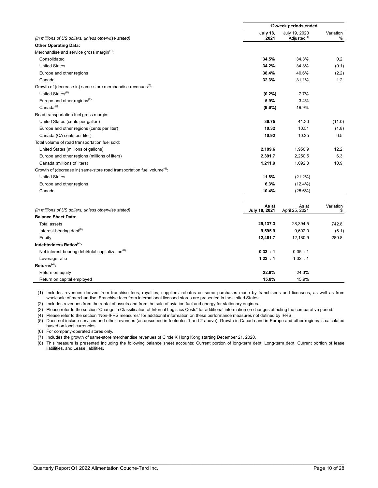|                                                                                     | 12-week periods ended   |                                          |                |
|-------------------------------------------------------------------------------------|-------------------------|------------------------------------------|----------------|
| (in millions of US dollars, unless otherwise stated)                                | <b>July 18,</b><br>2021 | July 19, 2020<br>Adjusted <sup>(3)</sup> | Variation<br>% |
| <b>Other Operating Data:</b>                                                        |                         |                                          |                |
| Merchandise and service gross margin <sup>(1)</sup> :                               |                         |                                          |                |
| Consolidated                                                                        | 34.5%                   | 34.3%                                    | 0.2            |
| <b>United States</b>                                                                | 34.2%                   | 34.3%                                    | (0.1)          |
| Europe and other regions                                                            | 38.4%                   | 40.6%                                    | (2.2)          |
| Canada                                                                              | 32.3%                   | 31.1%                                    | 1.2            |
| Growth of (decrease in) same-store merchandise revenues <sup>(5)</sup> :            |                         |                                          |                |
| United States <sup>(6)</sup>                                                        | (0.2%)                  | 7.7%                                     |                |
| Europe and other regions <sup><math>(7)</math></sup>                                | 5.9%                    | 3.4%                                     |                |
| $Canada^{(6)}$                                                                      | $(9.6\%)$               | 19.9%                                    |                |
| Road transportation fuel gross margin:                                              |                         |                                          |                |
| United States (cents per gallon)                                                    | 36.75                   | 41.30                                    | (11.0)         |
| Europe and other regions (cents per liter)                                          | 10.32                   | 10.51                                    | (1.8)          |
| Canada (CA cents per liter)                                                         | 10.92                   | 10.25                                    | 6.5            |
| Total volume of road transportation fuel sold:                                      |                         |                                          |                |
| United States (millions of gallons)                                                 | 2,189.6                 | 1,950.9                                  | 12.2           |
| Europe and other regions (millions of liters)                                       | 2,391.7                 | 2,250.5                                  | 6.3            |
| Canada (millions of liters)                                                         | 1,211.9                 | 1,092.3                                  | 10.9           |
| Growth of (decrease in) same-store road transportation fuel volume <sup>(6)</sup> : |                         |                                          |                |
| <b>United States</b>                                                                | 11.8%                   | $(21.2\%)$                               |                |
| Europe and other regions                                                            | 6.3%                    | $(12.4\%)$                               |                |
| Canada                                                                              | 10.4%                   | (25.6%)                                  |                |
|                                                                                     | As at                   | As at                                    | Variation      |
| (in millions of US dollars, unless otherwise stated)                                | July 18, 2021           | April 25, 2021                           | \$             |
| <b>Balance Sheet Data:</b>                                                          |                         |                                          |                |
| <b>Total assets</b>                                                                 | 29,137.3                | 28,394.5                                 | 742.8          |
| Interest-bearing debt <sup>(8)</sup>                                                | 9,595.9                 | 9,602.0                                  | (6.1)          |
| Equity                                                                              | 12,461.7                | 12,180.9                                 | 280.8          |
| Indebtedness Ratios <sup>(4)</sup> :                                                |                         |                                          |                |
| Net interest-bearing debt/total capitalization <sup>(8)</sup>                       | 0.33 : 1                | 0.35 : 1                                 |                |
| Leverage ratio                                                                      | 1.23 : 1                | 1.32 : 1                                 |                |
| $Returns(4)$ :                                                                      |                         |                                          |                |
| Return on equity                                                                    | 22.9%                   | 24.3%                                    |                |
| Return on capital employed                                                          | 15.8%                   | 15.9%                                    |                |

(1) Includes revenues derived from franchise fees, royalties, suppliers' rebates on some purchases made by franchisees and licensees, as well as from wholesale of merchandise. Franchise fees from international licensed stores are presented in the United States.

(2) Includes revenues from the rental of assets and from the sale of aviation fuel and energy for stationary engines.

(3) Please refer to the section "Change in Classification of Internal Logistics Costs" for additional information on changes affecting the comparative period.

(4) Please refer to the section "Non-IFRS measures" for additional information on these performance measures not defined by IFRS.

(5) Does not include services and other revenues (as described in footnotes 1 and 2 above). Growth in Canada and in Europe and other regions is calculated based on local currencies.

(6) For company-operated stores only.

(7) Includes the growth of same-store merchandise revenues of Circle K Hong Kong starting December 21, 2020.

(8) This measure is presented including the following balance sheet accounts: Current portion of long-term debt, Long-term debt, Current portion of lease liabilities, and Lease liabilities.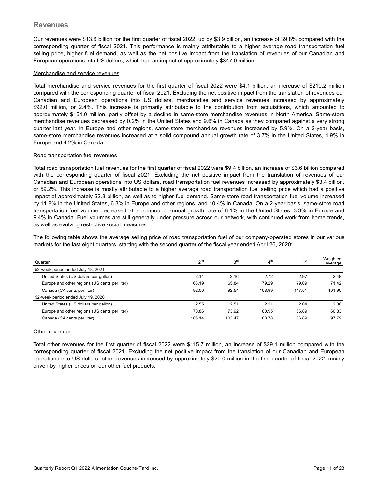## **Revenues**

Our revenues were \$13.6 billion for the first quarter of fiscal 2022, up by \$3.9 billion, an increase of 39.8% compared with the corresponding quarter of fiscal 2021. This performance is mainly attributable to a higher average road transportation fuel selling price, higher fuel demand, as well as the net positive impact from the translation of revenues of our Canadian and European operations into US dollars, which had an impact of approximately \$347.0 million.

#### Merchandise and service revenues

Total merchandise and service revenues for the first quarter of fiscal 2022 were \$4.1 billion, an increase of \$210.2 million compared with the corresponding quarter of fiscal 2021. Excluding the net positive impact from the translation of revenues our Canadian and European operations into US dollars, merchandise and service revenues increased by approximately \$92.0 million, or 2.4%. This increase is primarily attributable to the contribution from acquisitions, which amounted to approximately \$154.0 million, partly offset by a decline in same-store merchandise revenues in North America. Same-store merchandise revenues decreased by 0.2% in the United States and 9.6% in Canada as they compared against a very strong quarter last year. In Europe and other regions, same-store merchandise revenues increased by 5.9%. On a 2-year basis, same-store merchandise revenues increased at a solid compound annual growth rate of 3.7% in the United States, 4.9% in Europe and 4.2% in Canada.

#### Road transportation fuel revenues

Total road transportation fuel revenues for the first quarter of fiscal 2022 were \$9.4 billion, an increase of \$3.6 billion compared with the corresponding quarter of fiscal 2021. Excluding the net positive impact from the translation of revenues of our Canadian and European operations into US dollars, road transportation fuel revenues increased by approximately \$3.4 billion, or 59.2%. This increase is mostly attributable to a higher average road transportation fuel selling price which had a positive impact of approximately \$2.8 billion, as well as to higher fuel demand. Same-store road transportation fuel volume increased by 11.8% in the United States, 6.3% in Europe and other regions, and 10.4% in Canada. On a 2-year basis, same-store road transportation fuel volume decreased at a compound annual growth rate of 6.1% in the United States, 3.3% in Europe and 9.4% in Canada. Fuel volumes are still generally under pressure across our network, with continued work from home trends, as well as evolving restrictive social measures.

The following table shows the average selling price of road transportation fuel of our company-operated stores in our various markets for the last eight quarters, starting with the second quarter of the fiscal year ended April 26, 2020:

| Quarter                                       | 2 <sub>nd</sub> | 3 <sup>rd</sup> | 4 <sup>th</sup> | $\lambda$ st | Weighted<br>average |
|-----------------------------------------------|-----------------|-----------------|-----------------|--------------|---------------------|
| 52-week period ended July 18, 2021            |                 |                 |                 |              |                     |
| United States (US dollars per gallon)         | 2.14            | 2.16            | 2.72            | 2.97         | 2.48                |
| Europe and other regions (US cents per liter) | 63.19           | 65.84           | 79.29           | 79.09        | 71.42               |
| Canada (CA cents per liter)                   | 92.00           | 92.54           | 108.99          | 117.51       | 101.90              |
| 52-week period ended July 19, 2020            |                 |                 |                 |              |                     |
| United States (US dollars per gallon)         | 2.55            | 2.51            | 2.21            | 2.04         | 2.36                |
| Europe and other regions (US cents per liter) | 70.86           | 73.92           | 60.95           | 56.89        | 66.83               |
| Canada (CA cents per liter)                   | 105.14          | 103.47          | 88.78           | 86.89        | 97.79               |

#### Other revenues

Total other revenues for the first quarter of fiscal 2022 were \$115.7 million, an increase of \$29.1 million compared with the corresponding quarter of fiscal 2021. Excluding the net positive impact from the translation of our Canadian and European operations into US dollars, other revenues increased by approximately \$20.0 million in the first quarter of fiscal 2022, mainly driven by higher prices on our other fuel products.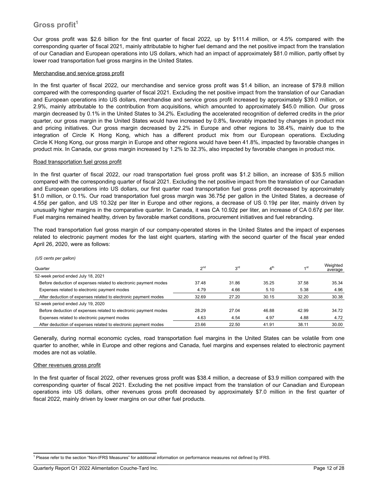# **Gross profit<sup>1</sup>**

Our gross profit was \$2.6 billion for the first quarter of fiscal 2022, up by \$111.4 million, or 4.5% compared with the corresponding quarter of fiscal 2021, mainly attributable to higher fuel demand and the net positive impact from the translation of our Canadian and European operations into US dollars, which had an impact of approximately \$81.0 million, partly offset by lower road transportation fuel gross margins in the United States.

#### Merchandise and service gross profit

In the first quarter of fiscal 2022, our merchandise and service gross profit was \$1.4 billion, an increase of \$79.8 million compared with the corresponding quarter of fiscal 2021. Excluding the net positive impact from the translation of our Canadian and European operations into US dollars, merchandise and service gross profit increased by approximately \$39.0 million, or 2.9%, mainly attributable to the contribution from acquisitions, which amounted to approximately \$45.0 million. Our gross margin decreased by 0.1% in the United States to 34.2%. Excluding the accelerated recognition of deferred credits in the prior quarter, our gross margin in the United States would have increased by 0.8%, favorably impacted by changes in product mix and pricing initiatives. Our gross margin decreased by 2.2% in Europe and other regions to 38.4%, mainly due to the integration of Circle K Hong Kong, which has a different product mix from our European operations. Excluding Circle K Hong Kong, our gross margin in Europe and other regions would have been 41.8%, impacted by favorable changes in product mix. In Canada, our gross margin increased by 1.2% to 32.3%, also impacted by favorable changes in product mix.

#### Road transportation fuel gross profit

In the first quarter of fiscal 2022, our road transportation fuel gross profit was \$1.2 billion, an increase of \$35.5 million compared with the corresponding quarter of fiscal 2021. Excluding the net positive impact from the translation of our Canadian and European operations into US dollars, our first quarter road transportation fuel gross profit decreased by approximately \$1.0 million, or 0.1%. Our road transportation fuel gross margin was 36.75¢ per gallon in the United States, a decrease of 4.55¢ per gallon, and US 10.32¢ per liter in Europe and other regions, a decrease of US 0.19¢ per liter, mainly driven by unusually higher margins in the comparative quarter. In Canada, it was CA 10.92¢ per liter, an increase of CA 0.67¢ per liter. Fuel margins remained healthy, driven by favorable market conditions, procurement initiatives and fuel rebranding.

The road transportation fuel gross margin of our company-operated stores in the United States and the impact of expenses related to electronic payment modes for the last eight quarters, starting with the second quarter of the fiscal year ended April 26, 2020, were as follows:

| Quarter                                                          | 2 <sup>nd</sup> | 3 <sup>rd</sup> | 4 <sup>th</sup> | $\lambda$ st | Weighted<br>average |
|------------------------------------------------------------------|-----------------|-----------------|-----------------|--------------|---------------------|
| 52-week period ended July 18, 2021                               |                 |                 |                 |              |                     |
| Before deduction of expenses related to electronic payment modes | 37.48           | 31.86           | 35.25           | 37.58        | 35.34               |
| Expenses related to electronic payment modes                     | 4.79            | 4.66            | 5.10            | 5.38         | 4.96                |
| After deduction of expenses related to electronic payment modes  | 32.69           | 27.20           | 30.15           | 32.20        | 30.38               |
| 52-week period ended July 19, 2020                               |                 |                 |                 |              |                     |
| Before deduction of expenses related to electronic payment modes | 28.29           | 27.04           | 46.88           | 42.99        | 34.72               |
| Expenses related to electronic payment modes                     | 4.63            | 4.54            | 4.97            | 4.88         | 4.72                |
| After deduction of expenses related to electronic payment modes  | 23.66           | 22.50           | 41.91           | 38.11        | 30.00               |

*(US cents per gallon)*

Generally, during normal economic cycles, road transportation fuel margins in the United States can be volatile from one quarter to another, while in Europe and other regions and Canada, fuel margins and expenses related to electronic payment modes are not as volatile.

#### Other revenues gross profit

In the first quarter of fiscal 2022, other revenues gross profit was \$38.4 million, a decrease of \$3.9 million compared with the corresponding quarter of fiscal 2021. Excluding the net positive impact from the translation of our Canadian and European operations into US dollars, other revenues gross profit decreased by approximately \$7.0 million in the first quarter of fiscal 2022, mainly driven by lower margins on our other fuel products.

 $\mathcal{L}_\mathcal{L} = \mathcal{L}_\mathcal{L} = \mathcal{L}_\mathcal{L} = \mathcal{L}_\mathcal{L} = \mathcal{L}_\mathcal{L} = \mathcal{L}_\mathcal{L} = \mathcal{L}_\mathcal{L} = \mathcal{L}_\mathcal{L} = \mathcal{L}_\mathcal{L} = \mathcal{L}_\mathcal{L} = \mathcal{L}_\mathcal{L} = \mathcal{L}_\mathcal{L} = \mathcal{L}_\mathcal{L} = \mathcal{L}_\mathcal{L} = \mathcal{L}_\mathcal{L} = \mathcal{L}_\mathcal{L} = \mathcal{L}_\mathcal{L}$ 

<sup>&</sup>lt;sup>1</sup> Please refer to the section "Non-IFRS Measures" for additional information on performance measures not defined by IFRS.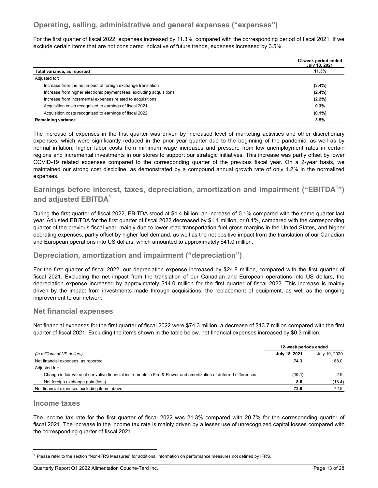# **Operating, selling, administrative and general expenses ("expenses")**

For the first quarter of fiscal 2022, expenses increased by 11.3%, compared with the corresponding period of fiscal 2021. If we exclude certain items that are not considered indicative of future trends, expenses increased by 3.5%.

|                                                                      | 12-week period ended<br>July 18, 2021 |
|----------------------------------------------------------------------|---------------------------------------|
| Total variance, as reported                                          | 11.3%                                 |
| Adjusted for:                                                        |                                       |
| Increase from the net impact of foreign exchange translation         | $(3.4\%)$                             |
| Increase from higher electronic payment fees, excluding acquisitions | $(2.4\%)$                             |
| Increase from incremental expenses related to acquisitions           | $(2.2\%)$                             |
| Acquisition costs recognized to earnings of fiscal 2021              | 0.3%                                  |
| Acquisition costs recognized to earnings of fiscal 2022              | $(0.1\%)$                             |
| <b>Remaining variance</b>                                            | 3.5%                                  |

The increase of expenses in the first quarter was driven by increased level of marketing activities and other discretionary expenses, which were significantly reduced in the prior year quarter due to the beginning of the pandemic, as well as by normal inflation, higher labor costs from minimum wage increases and pressure from low unemployment rates in certain regions and incremental investments in our stores to support our strategic initiatives. This increase was partly offset by lower COVID-19 related expenses compared to the corresponding quarter of the previous fiscal year. On a 2-year basis, we maintained our strong cost discipline, as demonstrated by a compound annual growth rate of only 1.2% in the normalized expenses.

# **Earnings before interest, taxes, depreciation, amortization and impairment ("EBITDA<sup>1</sup> ") and adjusted EBITDA<sup>1</sup>**

During the first quarter of fiscal 2022, EBITDA stood at \$1.4 billion, an increase of 0.1% compared with the same quarter last year. Adjusted EBITDA for the first quarter of fiscal 2022 decreased by \$1.1 million, or 0.1%, compared with the corresponding quarter of the previous fiscal year, mainly due to lower road transportation fuel gross margins in the United States, and higher operating expenses, partly offset by higher fuel demand, as well as the net positive impact from the translation of our Canadian and European operations into US dollars, which amounted to approximately \$41.0 million.

# **Depreciation, amortization and impairment ("depreciation")**

For the first quarter of fiscal 2022, our depreciation expense increased by \$24.8 million, compared with the first quarter of fiscal 2021. Excluding the net impact from the translation of our Canadian and European operations into US dollars, the depreciation expense increased by approximately \$14.0 million for the first quarter of fiscal 2022. This increase is mainly driven by the impact from investments made through acquisitions, the replacement of equipment, as well as the ongoing improvement to our network.

## **Net financial expenses**

Net financial expenses for the first quarter of fiscal 2022 were \$74.3 million, a decrease of \$13.7 million compared with the first quarter of fiscal 2021. Excluding the items shown in the table below, net financial expenses increased by \$0.3 million.

|                                                                                                                    | 12-week periods ended |               |  |
|--------------------------------------------------------------------------------------------------------------------|-----------------------|---------------|--|
| (in millions of US dollars)                                                                                        | July 18, 2021         | July 19, 2020 |  |
| Net financial expenses, as reported                                                                                | 74.3                  | 88.0          |  |
| Adjusted for:                                                                                                      |                       |               |  |
| Change in fair value of derivative financial instruments in Fire & Flower and amortization of deferred differences | (10.1)                | 2.9           |  |
| Net foreign exchange gain (loss)                                                                                   | 8.6                   | (18.4)        |  |
| Net financial expenses excluding items above                                                                       | 72.8                  | 72.5          |  |

## **Income taxes**

The income tax rate for the first quarter of fiscal 2022 was 21.3% compared with 20.7% for the corresponding quarter of fiscal 2021. The increase in the income tax rate is mainly driven by a lesser use of unrecognized capital losses compared with the corresponding quarter of fiscal 2021.

 $\mathcal{L}_\mathcal{L} = \mathcal{L}_\mathcal{L} = \mathcal{L}_\mathcal{L} = \mathcal{L}_\mathcal{L} = \mathcal{L}_\mathcal{L} = \mathcal{L}_\mathcal{L} = \mathcal{L}_\mathcal{L} = \mathcal{L}_\mathcal{L} = \mathcal{L}_\mathcal{L} = \mathcal{L}_\mathcal{L} = \mathcal{L}_\mathcal{L} = \mathcal{L}_\mathcal{L} = \mathcal{L}_\mathcal{L} = \mathcal{L}_\mathcal{L} = \mathcal{L}_\mathcal{L} = \mathcal{L}_\mathcal{L} = \mathcal{L}_\mathcal{L}$ 

<sup>1</sup> Please refer to the section "Non-IFRS Measures" for additional information on performance measures not defined by IFRS.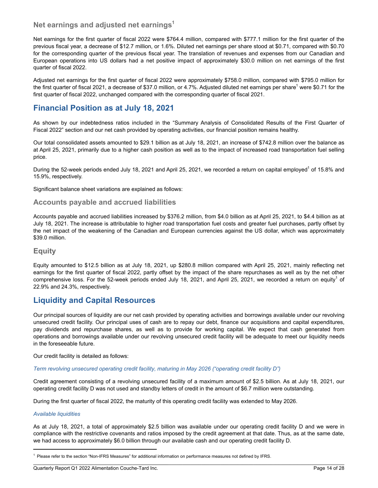## **Net earnings and adjusted net earnings<sup>1</sup>**

Net earnings for the first quarter of fiscal 2022 were \$764.4 million, compared with \$777.1 million for the first quarter of the previous fiscal year, a decrease of \$12.7 million, or 1.6%. Diluted net earnings per share stood at \$0.71, compared with \$0.70 for the corresponding quarter of the previous fiscal year. The translation of revenues and expenses from our Canadian and European operations into US dollars had a net positive impact of approximately \$30.0 million on net earnings of the first quarter of fiscal 2022.

Adjusted net earnings for the first quarter of fiscal 2022 were approximately \$758.0 million, compared with \$795.0 million for the first quarter of fiscal 2021, a decrease of \$37.0 million, or 4.7%. Adjusted diluted net earnings per share<sup>1</sup> were \$0.71 for the first quarter of fiscal 2022, unchanged compared with the corresponding quarter of fiscal 2021.

# **Financial Position as at July 18, 2021**

As shown by our indebtedness ratios included in the "Summary Analysis of Consolidated Results of the First Quarter of Fiscal 2022" section and our net cash provided by operating activities, our financial position remains healthy.

Our total consolidated assets amounted to \$29.1 billion as at July 18, 2021, an increase of \$742.8 million over the balance as at April 25, 2021, primarily due to a higher cash position as well as to the impact of increased road transportation fuel selling price.

During the 52-week periods ended July 18, 2021 and April 25, 2021, we recorded a return on capital employed<sup>1</sup> of 15.8% and 15.9%, respectively.

Significant balance sheet variations are explained as follows:

## **Accounts payable and accrued liabilities**

Accounts payable and accrued liabilities increased by \$376.2 million, from \$4.0 billion as at April 25, 2021, to \$4.4 billion as at July 18, 2021. The increase is attributable to higher road transportation fuel costs and greater fuel purchases, partly offset by the net impact of the weakening of the Canadian and European currencies against the US dollar, which was approximately \$39.0 million.

## **Equity**

Equity amounted to \$12.5 billion as at July 18, 2021, up \$280.8 million compared with April 25, 2021, mainly reflecting net earnings for the first quarter of fiscal 2022, partly offset by the impact of the share repurchases as well as by the net other comprehensive loss. For the 52-week periods ended July 18, 2021, and April 25, 2021, we recorded a return on equity<sup>1</sup> of 22.9% and 24.3%, respectively.

# **Liquidity and Capital Resources**

Our principal sources of liquidity are our net cash provided by operating activities and borrowings available under our revolving unsecured credit facility. Our principal uses of cash are to repay our debt, finance our acquisitions and capital expenditures, pay dividends and repurchase shares, as well as to provide for working capital. We expect that cash generated from operations and borrowings available under our revolving unsecured credit facility will be adequate to meet our liquidity needs in the foreseeable future.

Our credit facility is detailed as follows:

#### *Term revolving unsecured operating credit facility, maturing in May 2026 ("operating credit facility D")*

Credit agreement consisting of a revolving unsecured facility of a maximum amount of \$2.5 billion. As at July 18, 2021, our operating credit facility D was not used and standby letters of credit in the amount of \$6.7 million were outstanding.

During the first quarter of fiscal 2022, the maturity of this operating credit facility was extended to May 2026.

#### *Available liquidities*

As at July 18, 2021, a total of approximately \$2.5 billion was available under our operating credit facility D and we were in compliance with the restrictive covenants and ratios imposed by the credit agreement at that date. Thus, as at the same date, we had access to approximately \$6.0 billion through our available cash and our operating credit facility D.

 $\mathcal{L}_\mathcal{L} = \mathcal{L}_\mathcal{L} = \mathcal{L}_\mathcal{L} = \mathcal{L}_\mathcal{L} = \mathcal{L}_\mathcal{L} = \mathcal{L}_\mathcal{L} = \mathcal{L}_\mathcal{L} = \mathcal{L}_\mathcal{L} = \mathcal{L}_\mathcal{L} = \mathcal{L}_\mathcal{L} = \mathcal{L}_\mathcal{L} = \mathcal{L}_\mathcal{L} = \mathcal{L}_\mathcal{L} = \mathcal{L}_\mathcal{L} = \mathcal{L}_\mathcal{L} = \mathcal{L}_\mathcal{L} = \mathcal{L}_\mathcal{L}$ 

<sup>1</sup> Please refer to the section "Non-IFRS Measures" for additional information on performance measures not defined by IFRS.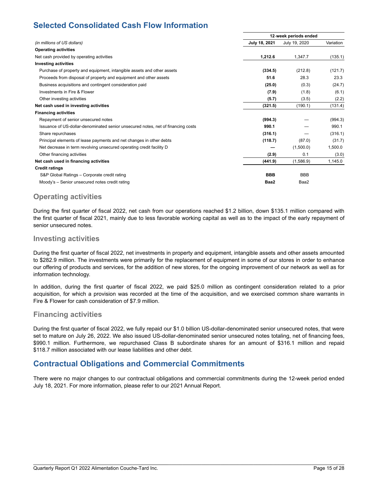# **Selected Consolidated Cash Flow Information**

|                                                                                  |               | 12-week periods ended |           |  |  |  |
|----------------------------------------------------------------------------------|---------------|-----------------------|-----------|--|--|--|
| (in millions of US dollars)                                                      | July 18, 2021 | July 19, 2020         | Variation |  |  |  |
| <b>Operating activities</b>                                                      |               |                       |           |  |  |  |
| Net cash provided by operating activities                                        | 1,212.6       | 1,347.7               | (135.1)   |  |  |  |
| <b>Investing activities</b>                                                      |               |                       |           |  |  |  |
| Purchase of property and equipment, intangible assets and other assets           | (334.5)       | (212.8)               | (121.7)   |  |  |  |
| Proceeds from disposal of property and equipment and other assets                | 51.6          | 28.3                  | 23.3      |  |  |  |
| Business acquisitions and contingent consideration paid                          | (25.0)        | (0.3)                 | (24.7)    |  |  |  |
| Investments in Fire & Flower                                                     | (7.9)         | (1.8)                 | (6.1)     |  |  |  |
| Other investing activities                                                       | (5.7)         | (3.5)                 | (2.2)     |  |  |  |
| Net cash used in investing activities                                            | (321.5)       | (190.1)               | (131.4)   |  |  |  |
| <b>Financing activities</b>                                                      |               |                       |           |  |  |  |
| Repayment of senior unsecured notes                                              | (994.3)       |                       | (994.3)   |  |  |  |
| Issuance of US-dollar-denominated senior unsecured notes, net of financing costs | 990.1         |                       | 990.1     |  |  |  |
| Share repurchases                                                                | (316.1)       |                       | (316.1)   |  |  |  |
| Principal elements of lease payments and net changes in other debts              | (118.7)       | (87.0)                | (31.7)    |  |  |  |
| Net decrease in term revolving unsecured operating credit facility D             |               | (1,500.0)             | 1,500.0   |  |  |  |
| Other financing activities                                                       | (2.9)         | 0.1                   | (3.0)     |  |  |  |
| Net cash used in financing activities                                            | (441.9)       | (1,586.9)             | 1,145.0   |  |  |  |
| <b>Credit ratings</b>                                                            |               |                       |           |  |  |  |
| S&P Global Ratings - Corporate credit rating                                     | <b>BBB</b>    | <b>BBB</b>            |           |  |  |  |
| Moody's - Senior unsecured notes credit rating                                   | Baa2          | Baa2                  |           |  |  |  |

# **Operating activities**

During the first quarter of fiscal 2022, net cash from our operations reached \$1.2 billion, down \$135.1 million compared with the first quarter of fiscal 2021, mainly due to less favorable working capital as well as to the impact of the early repayment of senior unsecured notes.

## **Investing activities**

During the first quarter of fiscal 2022, net investments in property and equipment, intangible assets and other assets amounted to \$282.9 million. The investments were primarily for the replacement of equipment in some of our stores in order to enhance our offering of products and services, for the addition of new stores, for the ongoing improvement of our network as well as for information technology.

In addition, during the first quarter of fiscal 2022, we paid \$25.0 million as contingent consideration related to a prior acquisition, for which a provision was recorded at the time of the acquisition, and we exercised common share warrants in Fire & Flower for cash consideration of \$7.9 million.

## **Financing activities**

During the first quarter of fiscal 2022, we fully repaid our \$1.0 billion US-dollar-denominated senior unsecured notes, that were set to mature on July 26, 2022. We also issued US-dollar-denominated senior unsecured notes totaling, net of financing fees, \$990.1 million. Furthermore, we repurchased Class B subordinate shares for an amount of \$316.1 million and repaid \$118.7 million associated with our lease liabilities and other debt.

# **Contractual Obligations and Commercial Commitments**

There were no major changes to our contractual obligations and commercial commitments during the 12-week period ended July 18, 2021. For more information, please refer to our 2021 Annual Report.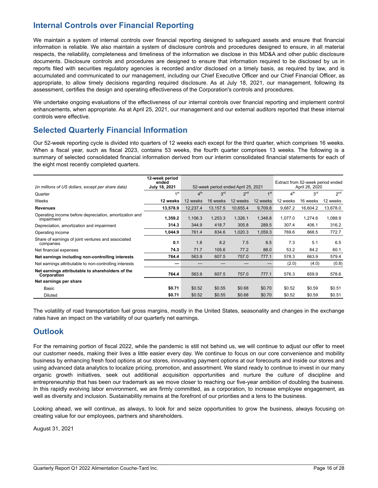# **Internal Controls over Financial Reporting**

We maintain a system of internal controls over financial reporting designed to safeguard assets and ensure that financial information is reliable. We also maintain a system of disclosure controls and procedures designed to ensure, in all material respects, the reliability, completeness and timeliness of the information we disclose in this MD&A and other public disclosure documents. Disclosure controls and procedures are designed to ensure that information required to be disclosed by us in reports filed with securities regulatory agencies is recorded and/or disclosed on a timely basis, as required by law, and is accumulated and communicated to our management, including our Chief Executive Officer and our Chief Financial Officer, as appropriate, to allow timely decisions regarding required disclosure. As at July 18, 2021, our management, following its assessment, certifies the design and operating effectiveness of the Corporation's controls and procedures.

We undertake ongoing evaluations of the effectiveness of our internal controls over financial reporting and implement control enhancements, when appropriate. As at April 25, 2021, our management and our external auditors reported that these internal controls were effective.

# **Selected Quarterly Financial Information**

Our 52-week reporting cycle is divided into quarters of 12 weeks each except for the third quarter, which comprises 16 weeks. When a fiscal year, such as fiscal 2023, contains 53 weeks, the fourth quarter comprises 13 weeks. The following is a summary of selected consolidated financial information derived from our interim consolidated financial statements for each of the eight most recently completed quarters.

| (in millions of US dollars, except per share data)                   | 12-week period<br>ended<br>July 18, 2021 | 52-week period ended April 25, 2021 |                 |                 | Extract from 52-week period ended<br>April 26, 2020 |                 |                 |                 |
|----------------------------------------------------------------------|------------------------------------------|-------------------------------------|-----------------|-----------------|-----------------------------------------------------|-----------------|-----------------|-----------------|
| Quarter                                                              | 1 <sub>st</sub>                          | 4 <sup>th</sup>                     | 3 <sup>rd</sup> | 2 <sup>nd</sup> | 1 <sup>st</sup>                                     | 4 <sup>th</sup> | 3 <sup>rd</sup> | 2 <sup>nd</sup> |
| Weeks                                                                | 12 weeks                                 | 12 weeks                            | 16 weeks        | 12 weeks        | 12 weeks                                            | 12 weeks        | 16 weeks        | 12 weeks        |
| <b>Revenues</b>                                                      | 13,578.9                                 | 12,237.4                            | 13,157.5        | 10.655.4        | 9,709.8                                             | 9,687.2         | 16,604.2        | 13,678.0        |
| Operating income before depreciation, amortization and<br>impairment | 1,359.2                                  | 1,106.3                             | 1,253.3         | 1,326.1         | 1,348.8                                             | 1,077.0         | 1,274.6         | 1,088.9         |
| Depreciation, amortization and impairment                            | 314.3                                    | 344.9                               | 418.7           | 305.8           | 289.5                                               | 307.4           | 406.1           | 316.2           |
| Operating income                                                     | 1,044.9                                  | 761.4                               | 834.6           | 1,020.3         | 1.059.3                                             | 769.6           | 868.5           | 772.7           |
| Share of earnings of joint ventures and associated<br>companies      | 0.1                                      | 1.8                                 | 8.2             | 7.5             | 8.5                                                 | 7.3             | 5.1             | 6.5             |
| Net financial expenses                                               | 74.3                                     | 71.7                                | 105.6           | 77.2            | 88.0                                                | 53.2            | 84.2            | 60.1            |
| Net earnings including non-controlling interests                     | 764.4                                    | 563.9                               | 607.5           | 757.0           | 777.1                                               | 578.3           | 663.9           | 579.4           |
| Net earnings attributable to non-controlling interests               | -                                        |                                     |                 |                 |                                                     | (2.0)           | (4.0)           | (0.8)           |
| Net earnings attributable to shareholders of the<br>Corporation      | 764.4                                    | 563.9                               | 607.5           | 757.0           | 777.1                                               | 576.3           | 659.9           | 578.6           |
| Net earnings per share                                               |                                          |                                     |                 |                 |                                                     |                 |                 |                 |
| Basic                                                                | \$0.71                                   | \$0.52                              | \$0.55          | \$0.68          | \$0.70                                              | \$0.52          | \$0.59          | \$0.51          |
| <b>Diluted</b>                                                       | \$0.71                                   | \$0.52                              | \$0.55          | \$0.68          | \$0.70                                              | \$0.52          | \$0.59          | \$0.51          |

The volatility of road transportation fuel gross margins, mostly in the United States, seasonality and changes in the exchange rates have an impact on the variability of our quarterly net earnings.

# **Outlook**

For the remaining portion of fiscal 2022, while the pandemic is still not behind us, we will continue to adjust our offer to meet our customer needs, making their lives a little easier every day. We continue to focus on our core convenience and mobility business by enhancing fresh food options at our stores, innovating payment options at our forecourts and inside our stores and using advanced data analytics to localize pricing, promotion, and assortment. We stand ready to continue to invest in our many organic growth initiatives, seek out additional acquisition opportunities and nurture the culture of discipline and entrepreneurship that has been our trademark as we move closer to reaching our five-year ambition of doubling the business. In this rapidly evolving labor environment, we are firmly committed, as a corporation, to increase employee engagement, as well as diversity and inclusion. Sustainability remains at the forefront of our priorities and a lens to the business.

Looking ahead, we will continue, as always, to look for and seize opportunities to grow the business, always focusing on creating value for our employees, partners and shareholders.

August 31, 2021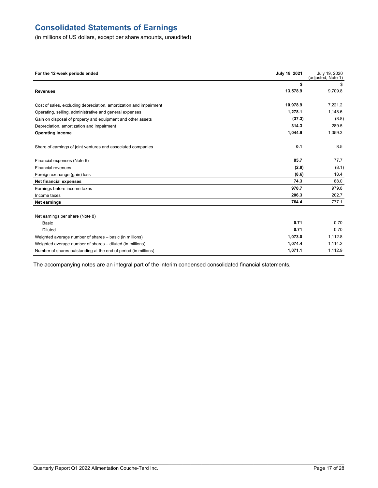# **Consolidated Statements of Earnings**

(in millions of US dollars, except per share amounts, unaudited)

| For the 12-week periods ended                                      | July 18, 2021 | July 19, 2020<br>(adjusted, Note 1) |
|--------------------------------------------------------------------|---------------|-------------------------------------|
|                                                                    | \$            | \$                                  |
| <b>Revenues</b>                                                    | 13,578.9      | 9,709.8                             |
| Cost of sales, excluding depreciation, amortization and impairment | 10,978.9      | 7,221.2                             |
| Operating, selling, administrative and general expenses            | 1.278.1       | 1,148.6                             |
| Gain on disposal of property and equipment and other assets        | (37.3)        | (8.8)                               |
| Depreciation, amortization and impairment                          | 314.3         | 289.5                               |
| <b>Operating income</b>                                            | 1,044.9       | 1,059.3                             |
| Share of earnings of joint ventures and associated companies       | 0.1           | 8.5                                 |
| Financial expenses (Note 6)                                        | 85.7          | 77.7                                |
| <b>Financial revenues</b>                                          | (2.8)         | (8.1)                               |
| Foreign exchange (gain) loss                                       | (8.6)         | 18.4                                |
| <b>Net financial expenses</b>                                      | 74.3          | 88.0                                |
| Earnings before income taxes                                       | 970.7         | 979.8                               |
| Income taxes                                                       | 206.3         | 202.7                               |
| <b>Net earnings</b>                                                | 764.4         | 777.1                               |
| Net earnings per share (Note 8)                                    |               |                                     |
| <b>Basic</b>                                                       | 0.71          | 0.70                                |
| <b>Diluted</b>                                                     | 0.71          | 0.70                                |
| Weighted average number of shares - basic (in millions)            | 1,073.0       | 1,112.8                             |
| Weighted average number of shares - diluted (in millions)          | 1,074.4       | 1,114.2                             |
| Number of shares outstanding at the end of period (in millions)    | 1,071.1       | 1,112.9                             |

The accompanying notes are an integral part of the interim condensed consolidated financial statements.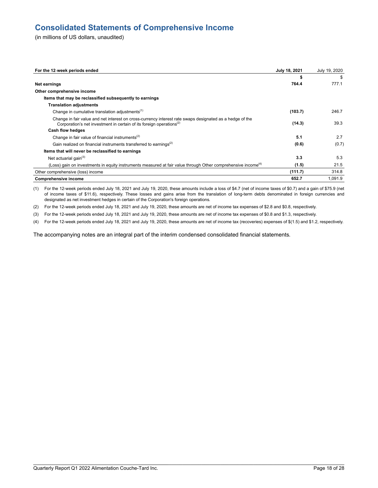# **Consolidated Statements of Comprehensive Income**

(in millions of US dollars, unaudited)

| For the 12-week periods ended                                                                                                                                                                | July 18, 2021 | July 19, 2020 |
|----------------------------------------------------------------------------------------------------------------------------------------------------------------------------------------------|---------------|---------------|
|                                                                                                                                                                                              | \$            | \$            |
| Net earnings                                                                                                                                                                                 | 764.4         | 777.1         |
| Other comprehensive income                                                                                                                                                                   |               |               |
| Items that may be reclassified subsequently to earnings                                                                                                                                      |               |               |
| <b>Translation adjustments</b>                                                                                                                                                               |               |               |
| Change in cumulative translation adjustments <sup>(1)</sup>                                                                                                                                  | (103.7)       | 246.7         |
| Change in fair value and net interest on cross-currency interest rate swaps designated as a hedge of the<br>Corporation's net investment in certain of its foreign operations <sup>(2)</sup> | (14.3)        | 39.3          |
| Cash flow hedges                                                                                                                                                                             |               |               |
| Change in fair value of financial instruments <sup>(2)</sup>                                                                                                                                 | 5.1           | 2.7           |
| Gain realized on financial instruments transferred to earnings <sup>(2)</sup>                                                                                                                | (0.6)         | (0.7)         |
| Items that will never be reclassified to earnings                                                                                                                                            |               |               |
| Net actuarial gain $(3)$                                                                                                                                                                     | 3.3           | 5.3           |
| (Loss) gain on investments in equity instruments measured at fair value through Other comprehensive income <sup>(4)</sup>                                                                    | (1.5)         | 21.5          |
| Other comprehensive (loss) income                                                                                                                                                            | (111.7)       | 314.8         |
| <b>Comprehensive income</b>                                                                                                                                                                  | 652.7         | 1,091.9       |

(1) For the 12-week periods ended July 18, 2021 and July 19, 2020, these amounts include a loss of \$4.7 (net of income taxes of \$0.7) and a gain of \$75.9 (net of income taxes of \$11.6), respectively. These losses and gains arise from the translation of long-term debts denominated in foreign currencies and designated as net investment hedges in certain of the Corporation's foreign operations.

(2) For the 12-week periods ended July 18, 2021 and July 19, 2020, these amounts are net of income tax expenses of \$2.8 and \$0.8, respectively.

(3) For the 12-week periods ended July 18, 2021 and July 19, 2020, these amounts are net of income tax expenses of \$0.8 and \$1.3, respectively.

(4) For the 12-week periods ended July 18, 2021 and July 19, 2020, these amounts are net of income tax (recoveries) expenses of \$(1.5) and \$1.2, respectively.

The accompanying notes are an integral part of the interim condensed consolidated financial statements.

\_\_\_\_\_\_\_\_\_\_\_\_\_\_\_\_\_\_\_\_\_\_\_\_\_\_\_\_\_\_\_\_\_\_\_\_\_\_\_\_\_\_\_\_\_\_\_\_\_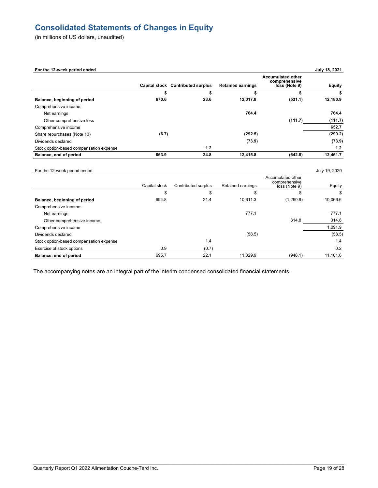# **Consolidated Statements of Changes in Equity**

(in millions of US dollars, unaudited)

Comprehensive income:

| For the 12-week period ended            |               |                                   |                          |                                                            | July 18, 2021 |
|-----------------------------------------|---------------|-----------------------------------|--------------------------|------------------------------------------------------------|---------------|
|                                         |               | Capital stock Contributed surplus | <b>Retained earnings</b> | <b>Accumulated other</b><br>comprehensive<br>loss (Note 9) | <b>Equity</b> |
|                                         |               | \$                                |                          |                                                            |               |
| Balance, beginning of period            | 670.6         | 23.6                              | 12,017.8                 | (531.1)                                                    | 12,180.9      |
| Comprehensive income:                   |               |                                   |                          |                                                            |               |
| Net earnings                            |               |                                   | 764.4                    |                                                            | 764.4         |
| Other comprehensive loss                |               |                                   |                          | (111.7)                                                    | (111.7)       |
| Comprehensive income                    |               |                                   |                          |                                                            | 652.7         |
| Share repurchases (Note 10)             | (6.7)         |                                   | (292.5)                  |                                                            | (299.2)       |
| Dividends declared                      |               |                                   | (73.9)                   |                                                            | (73.9)        |
| Stock option-based compensation expense |               | 1.2                               |                          |                                                            | 1.2           |
| Balance, end of period                  | 663.9         | 24.8                              | 12,415.8                 | (642.8)                                                    | 12,461.7      |
| For the 12-week period ended            |               |                                   |                          |                                                            | July 19, 2020 |
|                                         | Capital stock | Contributed surplus               | Retained earnings        | Accumulated other<br>comprehensive<br>loss (Note 9)        | Equity        |
|                                         | \$            | \$                                | \$                       | \$                                                         | -S            |
| Balance, beginning of period            | 694.8         | 21.4                              | 10,611.3                 | (1,260.9)                                                  | 10,066.6      |

Net earnings 777.1 777.1 Other comprehensive income 314.8 314.8 Comprehensive income 1,091.9 Dividends declared (58.5) (58.5) (58.5) (58.5) Stock option-based compensation expense 1.4 1.4 Exercise of stock options 0.9 (0.7) 0.2 **Balance, end of period** 695.7 22.1 11,329.9 (946.1) 11,101.6

The accompanying notes are an integral part of the interim condensed consolidated financial statements.

\_\_\_\_\_\_\_\_\_\_\_\_\_\_\_\_\_\_\_\_\_\_\_\_\_\_\_\_\_\_\_\_\_\_\_\_\_\_\_\_\_\_\_\_\_\_\_\_\_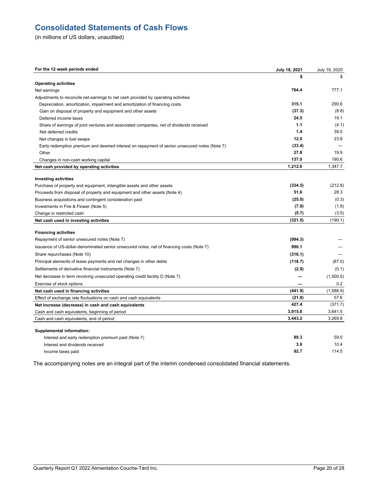# **Consolidated Statements of Cash Flows**

(in millions of US dollars, unaudited)

| For the 12-week periods ended                                                                | July 18, 2021 | July 19, 2020 |
|----------------------------------------------------------------------------------------------|---------------|---------------|
|                                                                                              | s             |               |
| <b>Operating activities</b>                                                                  |               |               |
| Net earnings                                                                                 | 764.4         | 777.1         |
| Adjustments to reconcile net earnings to net cash provided by operating activities           |               |               |
| Depreciation, amortization, impairment and amortization of financing costs                   | 315.1         | 290.6         |
| Gain on disposal of property and equipment and other assets                                  | (37.3)        | (8.8)         |
| Deferred income taxes                                                                        | 24.5          | 19.1          |
| Share of earnings of joint ventures and associated companies, net of dividends received      | 1.1           | (4.1)         |
| Net deferred credits                                                                         | 1.4           | 39.5          |
| Net changes in fuel swaps                                                                    | 12.0          | 23.8          |
| Early redemption premium and deemed interest on repayment of senior unsecured notes (Note 7) | (33.4)        |               |
| Other                                                                                        | 27.8          | 19.9          |
| Changes in non-cash working capital                                                          | 137.0         | 190.6         |
| Net cash provided by operating activities                                                    | 1,212.6       | 1,347.7       |
|                                                                                              |               |               |
| <b>Investing activities</b>                                                                  |               |               |
| Purchase of property and equipment, intangible assets and other assets                       | (334.5)       | (212.8)       |
| Proceeds from disposal of property and equipment and other assets (Note 4)                   | 51.6          | 28.3          |
| Business acquisitions and contingent consideration paid                                      | (25.0)        | (0.3)         |
| Investments in Fire & Flower (Note 5)                                                        | (7.9)         | (1.8)         |
| Change in restricted cash                                                                    | (5.7)         | (3.5)         |
| Net cash used in investing activities                                                        | (321.5)       | (190.1)       |
| <b>Financing activities</b>                                                                  |               |               |
| Repayment of senior unsecured notes (Note 7)                                                 | (994.3)       |               |
| Issuance of US-dollar-denominated senior unsecured notes, net of financing costs (Note 7)    | 990.1         |               |
| Share repurchases (Note 10)                                                                  | (316.1)       |               |
| Principal elements of lease payments and net changes in other debts                          | (118.7)       | (87.0)        |
| Settlements of derivative financial instruments (Note 7)                                     | (2.9)         | (0.1)         |
| Net decrease in term revolving unsecured operating credit facility D (Note 7)                |               | (1,500.0)     |
| Exercise of stock options                                                                    |               | 0.2           |
| Net cash used in financing activities                                                        | (441.9)       | (1,586.9)     |
| Effect of exchange rate fluctuations on cash and cash equivalents                            | (21.8)        | 57.6          |
| Net increase (decrease) in cash and cash equivalents                                         | 427.4         | (371.7)       |
| Cash and cash equivalents, beginning of period                                               | 3,015.8       | 3,641.5       |
| Cash and cash equivalents, end of period                                                     | 3,443.2       | 3,269.8       |
|                                                                                              |               |               |
| <b>Supplemental information:</b>                                                             |               |               |
| Interest and early redemption premium paid (Note 7)                                          | 89.3          | 59.0          |
| Interest and dividends received                                                              | 3.8           | 10.4          |
| Income taxes paid                                                                            | 92.7          | 114.5         |

The accompanying notes are an integral part of the interim condensed consolidated financial statements.

\_\_\_\_\_\_\_\_\_\_\_\_\_\_\_\_\_\_\_\_\_\_\_\_\_\_\_\_\_\_\_\_\_\_\_\_\_\_\_\_\_\_\_\_\_\_\_\_\_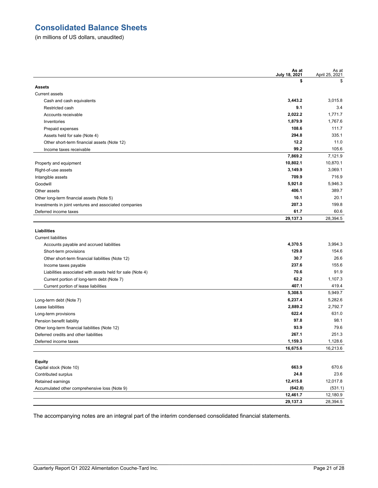# **Consolidated Balance Sheets**

(in millions of US dollars, unaudited)

|                                                           | As at<br>July 18, 2021 | As at<br>April 25, 2021 |
|-----------------------------------------------------------|------------------------|-------------------------|
|                                                           | \$                     | \$                      |
| <b>Assets</b>                                             |                        |                         |
| <b>Current assets</b>                                     |                        |                         |
| Cash and cash equivalents                                 | 3,443.2                | 3,015.8                 |
| Restricted cash                                           | 9.1                    | 3.4                     |
| Accounts receivable                                       | 2,022.2                | 1,771.7                 |
| Inventories                                               | 1,879.9                | 1,767.6                 |
| Prepaid expenses                                          | 108.6                  | 111.7                   |
| Assets held for sale (Note 4)                             | 294.8                  | 335.1                   |
| Other short-term financial assets (Note 12)               | 12.2                   | 11.0                    |
| Income taxes receivable                                   | 99.2                   | 105.6                   |
|                                                           | 7,869.2                | 7,121.9                 |
| Property and equipment                                    | 10,802.1               | 10,870.1                |
| Right-of-use assets                                       | 3,149.9                | 3,069.1                 |
| Intangible assets                                         | 709.9                  | 716.9                   |
| Goodwill                                                  | 5,921.0                | 5,946.3                 |
| Other assets                                              | 406.1                  | 389.7                   |
| Other long-term financial assets (Note 5)                 | 10.1                   | 20.1                    |
| Investments in joint ventures and associated companies    | 207.3                  | 199.8                   |
| Deferred income taxes                                     | 61.7                   | 60.6                    |
|                                                           | 29,137.3               | 28,394.5                |
| Liabilities                                               |                        |                         |
| <b>Current liabilities</b>                                |                        |                         |
| Accounts payable and accrued liabilities                  | 4,370.5                | 3.994.3                 |
| Short-term provisions                                     | 129.8                  | 154.6                   |
| Other short-term financial liabilities (Note 12)          | 30.7                   | 26.6                    |
| Income taxes payable                                      | 237.6                  | 155.6                   |
| Liabilities associated with assets held for sale (Note 4) | 70.6                   | 91.9                    |
| Current portion of long-term debt (Note 7)                | 62.2                   | 1,107.3                 |
| Current portion of lease liabilities                      | 407.1                  | 419.4                   |
|                                                           | 5,308.5                | 5,949.7                 |
| Long-term debt (Note 7)                                   | 6,237.4                | 5,282.6                 |
| Lease liabilities                                         | 2,889.2                | 2,792.7                 |
| Long-term provisions                                      | 622.4                  | 631.0                   |
| Pension benefit liability                                 | 97.8                   | 98.1                    |
| Other long-term financial liabilities (Note 12)           | 93.9                   | 79.6                    |
| Deferred credits and other liabilities                    | 267.1                  | 251.3                   |
| Deferred income taxes                                     | 1,159.3                | 1,128.6                 |
|                                                           | 16,675.6               | 16,213.6                |
|                                                           |                        |                         |
| <b>Equity</b>                                             |                        |                         |
| Capital stock (Note 10)                                   | 663.9                  | 670.6                   |
| Contributed surplus                                       | 24.8                   | 23.6                    |
| Retained earnings                                         | 12,415.8               | 12,017.8                |
| Accumulated other comprehensive loss (Note 9)             | (642.8)                | (531.1)                 |
|                                                           | 12,461.7               | 12,180.9                |
|                                                           | 29,137.3               | 28,394.5                |

The accompanying notes are an integral part of the interim condensed consolidated financial statements.

\_\_\_\_\_\_\_\_\_\_\_\_\_\_\_\_\_\_\_\_\_\_\_\_\_\_\_\_\_\_\_\_\_\_\_\_\_\_\_\_\_\_\_\_\_\_\_\_\_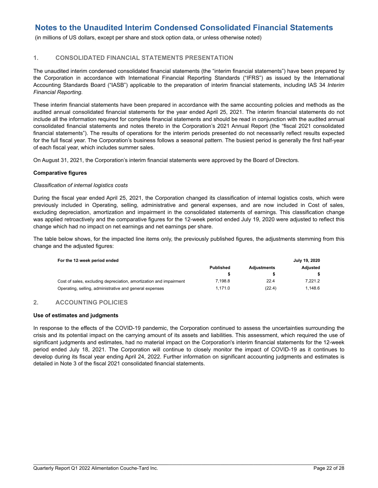(in millions of US dollars, except per share and stock option data, or unless otherwise noted)

## **1. CONSOLIDATED FINANCIAL STATEMENTS PRESENTATION**

The unaudited interim condensed consolidated financial statements (the "interim financial statements") have been prepared by the Corporation in accordance with International Financial Reporting Standards ("IFRS") as issued by the International Accounting Standards Board ("IASB") applicable to the preparation of interim financial statements, including IAS 34 *Interim Financial Reporting*.

These interim financial statements have been prepared in accordance with the same accounting policies and methods as the audited annual consolidated financial statements for the year ended April 25, 2021. The interim financial statements do not include all the information required for complete financial statements and should be read in conjunction with the audited annual consolidated financial statements and notes thereto in the Corporation's 2021 Annual Report (the "fiscal 2021 consolidated financial statements"). The results of operations for the interim periods presented do not necessarily reflect results expected for the full fiscal year. The Corporation's business follows a seasonal pattern. The busiest period is generally the first half-year of each fiscal year, which includes summer sales.

On August 31, 2021, the Corporation's interim financial statements were approved by the Board of Directors.

#### **Comparative figures**

#### *Classification of internal logistics costs*

During the fiscal year ended April 25, 2021, the Corporation changed its classification of internal logistics costs, which were previously included in Operating, selling, administrative and general expenses, and are now included in Cost of sales, excluding depreciation, amortization and impairment in the consolidated statements of earnings. This classification change was applied retroactively and the comparative figures for the 12-week period ended July 19, 2020 were adjusted to reflect this change which had no impact on net earnings and net earnings per share.

The table below shows, for the impacted line items only, the previously published figures, the adjustments stemming from this change and the adjusted figures:

| For the 12-week period ended                                       |                  |                    | July 19, 2020 |
|--------------------------------------------------------------------|------------------|--------------------|---------------|
|                                                                    | <b>Published</b> | <b>Adiustments</b> | Adiusted      |
|                                                                    |                  |                    |               |
| Cost of sales, excluding depreciation, amortization and impairment | 7.198.8          | 22.4               | 7.221.2       |
| Operating, selling, administrative and general expenses            | 1.171.0          | (22.4)             | 1.148.6       |

## **2. ACCOUNTING POLICIES**

#### **Use of estimates and judgments**

In response to the effects of the COVID-19 pandemic, the Corporation continued to assess the uncertainties surrounding the crisis and its potential impact on the carrying amount of its assets and liabilities. This assessment, which required the use of significant judgments and estimates, had no material impact on the Corporation's interim financial statements for the 12-week period ended July 18, 2021. The Corporation will continue to closely monitor the impact of COVID-19 as it continues to develop during its fiscal year ending April 24, 2022. Further information on significant accounting judgments and estimates is detailed in Note 3 of the fiscal 2021 consolidated financial statements.

 $\mathcal{L}_\mathcal{L} = \mathcal{L}_\mathcal{L} = \mathcal{L}_\mathcal{L} = \mathcal{L}_\mathcal{L} = \mathcal{L}_\mathcal{L} = \mathcal{L}_\mathcal{L} = \mathcal{L}_\mathcal{L} = \mathcal{L}_\mathcal{L} = \mathcal{L}_\mathcal{L} = \mathcal{L}_\mathcal{L} = \mathcal{L}_\mathcal{L} = \mathcal{L}_\mathcal{L} = \mathcal{L}_\mathcal{L} = \mathcal{L}_\mathcal{L} = \mathcal{L}_\mathcal{L} = \mathcal{L}_\mathcal{L} = \mathcal{L}_\mathcal{L}$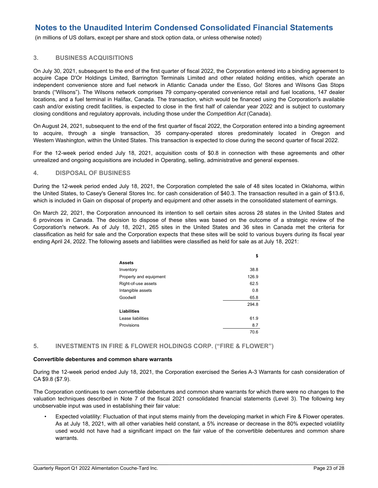(in millions of US dollars, except per share and stock option data, or unless otherwise noted)

#### **3. BUSINESS ACQUISITIONS**

On July 30, 2021, subsequent to the end of the first quarter of fiscal 2022, the Corporation entered into a binding agreement to acquire Cape D'Or Holdings Limited, Barrington Terminals Limited and other related holding entities, which operate an independent convenience store and fuel network in Atlantic Canada under the Esso, Go! Stores and Wilsons Gas Stops brands ("Wilsons"). The Wilsons network comprises 79 company-operated convenience retail and fuel locations, 147 dealer locations, and a fuel terminal in Halifax, Canada. The transaction, which would be financed using the Corporation's available cash and/or existing credit facilities, is expected to close in the first half of calendar year 2022 and is subject to customary closing conditions and regulatory approvals, including those under the *Competition Act* (Canada).

On August 24, 2021, subsequent to the end of the first quarter of fiscal 2022, the Corporation entered into a binding agreement to acquire, through a single transaction, 35 company-operated stores predominately located in Oregon and Western Washington, within the United States. This transaction is expected to close during the second quarter of fiscal 2022.

For the 12-week period ended July 18, 2021, acquisition costs of \$0.8 in connection with these agreements and other unrealized and ongoing acquisitions are included in Operating, selling, administrative and general expenses.

#### **4. DISPOSAL OF BUSINESS**

During the 12-week period ended July 18, 2021, the Corporation completed the sale of 48 sites located in Oklahoma, within the United States, to Casey's General Stores Inc. for cash consideration of \$40.3. The transaction resulted in a gain of \$13.6, which is included in Gain on disposal of property and equipment and other assets in the consolidated statement of earnings.

On March 22, 2021, the Corporation announced its intention to sell certain sites across 28 states in the United States and 6 provinces in Canada. The decision to dispose of these sites was based on the outcome of a strategic review of the Corporation's network. As of July 18, 2021, 265 sites in the United States and 36 sites in Canada met the criteria for classification as held for sale and the Corporation expects that these sites will be sold to various buyers during its fiscal year ending April 24, 2022. The following assets and liabilities were classified as held for sale as at July 18, 2021:

|                        | \$    |
|------------------------|-------|
| <b>Assets</b>          |       |
| Inventory              | 38.8  |
| Property and equipment | 126.9 |
| Right-of-use assets    | 62.5  |
| Intangible assets      | 0.8   |
| Goodwill               | 65.8  |
|                        | 294.8 |
| <b>Liabilities</b>     |       |
| Lease liabilities      | 61.9  |
| Provisions             | 8.7   |
|                        | 70.6  |

#### **5. INVESTMENTS IN FIRE & FLOWER HOLDINGS CORP. ("FIRE & FLOWER")**

#### **Convertible debentures and common share warrants**

During the 12-week period ended July 18, 2021, the Corporation exercised the Series A-3 Warrants for cash consideration of CA \$9.8 (\$7.9).

The Corporation continues to own convertible debentures and common share warrants for which there were no changes to the valuation techniques described in Note 7 of the fiscal 2021 consolidated financial statements (Level 3). The following key unobservable input was used in establishing their fair value:

• Expected volatility: Fluctuation of that input stems mainly from the developing market in which Fire & Flower operates. As at July 18, 2021, with all other variables held constant, a 5% increase or decrease in the 80% expected volatility used would not have had a significant impact on the fair value of the convertible debentures and common share warrants.

 $\mathcal{L}_\mathcal{L} = \mathcal{L}_\mathcal{L} = \mathcal{L}_\mathcal{L} = \mathcal{L}_\mathcal{L} = \mathcal{L}_\mathcal{L} = \mathcal{L}_\mathcal{L} = \mathcal{L}_\mathcal{L} = \mathcal{L}_\mathcal{L} = \mathcal{L}_\mathcal{L} = \mathcal{L}_\mathcal{L} = \mathcal{L}_\mathcal{L} = \mathcal{L}_\mathcal{L} = \mathcal{L}_\mathcal{L} = \mathcal{L}_\mathcal{L} = \mathcal{L}_\mathcal{L} = \mathcal{L}_\mathcal{L} = \mathcal{L}_\mathcal{L}$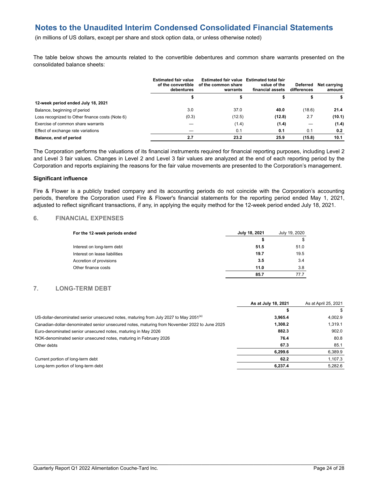(in millions of US dollars, except per share and stock option data, or unless otherwise noted)

The table below shows the amounts related to the convertible debentures and common share warrants presented on the consolidated balance sheets:

|                                                 | <b>Estimated fair value</b><br>of the convertible<br>debentures | Estimated fair value Estimated total fair<br>of the common share<br>warrants | value of the<br>financial assets | Deferred<br>differences | Net carrving<br>amount |
|-------------------------------------------------|-----------------------------------------------------------------|------------------------------------------------------------------------------|----------------------------------|-------------------------|------------------------|
|                                                 |                                                                 |                                                                              |                                  |                         | s                      |
| 12-week period ended July 18, 2021              |                                                                 |                                                                              |                                  |                         |                        |
| Balance, beginning of period                    | 3.0                                                             | 37.0                                                                         | 40.0                             | (18.6)                  | 21.4                   |
| Loss recognized to Other finance costs (Note 6) | (0.3)                                                           | (12.5)                                                                       | (12.8)                           | 2.7                     | (10.1)                 |
| Exercise of common share warrants               |                                                                 | (1.4)                                                                        | (1.4)                            |                         | (1.4)                  |
| Effect of exchange rate variations              |                                                                 | 0.1                                                                          | 0.1                              | 0.1                     | 0.2                    |
| Balance, end of period                          | 2.7                                                             | 23.2                                                                         | 25.9                             | (15.8)                  | 10.1                   |

The Corporation performs the valuations of its financial instruments required for financial reporting purposes, including Level 2 and Level 3 fair values. Changes in Level 2 and Level 3 fair values are analyzed at the end of each reporting period by the Corporation and reports explaining the reasons for the fair value movements are presented to the Corporation's management.

#### **Significant influence**

Fire & Flower is a publicly traded company and its accounting periods do not coincide with the Corporation's accounting periods, therefore the Corporation used Fire & Flower's financial statements for the reporting period ended May 1, 2021, adjusted to reflect significant transactions, if any, in applying the equity method for the 12-week period ended July 18, 2021.

#### **6. FINANCIAL EXPENSES**

| For the 12-week periods ended | July 18, 2021<br>July 19, 2020 |      |
|-------------------------------|--------------------------------|------|
|                               |                                | \$   |
| Interest on long-term debt    | 51.5                           | 51.0 |
| Interest on lease liabilities | 19.7                           | 19.5 |
| Accretion of provisions       | 3.5                            | 3.4  |
| Other finance costs           | 11.0                           | 3.8  |
|                               | 85.7                           | 77.7 |

## **7. LONG-TERM DEBT**

|                                                                                                  | As at July 18, 2021 | As at April 25, 2021 |
|--------------------------------------------------------------------------------------------------|---------------------|----------------------|
|                                                                                                  |                     |                      |
| US-dollar-denominated senior unsecured notes, maturing from July 2027 to May 2051 <sup>(a)</sup> | 3,965.4             | 4,002.9              |
| Canadian-dollar-denominated senior unsecured notes, maturing from November 2022 to June 2025     | 1,308.2             | 1.319.1              |
| Euro-denominated senior unsecured notes, maturing in May 2026                                    | 882.3               | 902.0                |
| NOK-denominated senior unsecured notes, maturing in February 2026                                | 76.4                | 80.8                 |
| Other debts                                                                                      | 67.3                | 85.1                 |
|                                                                                                  | 6.299.6             | 6.389.9              |
| Current portion of long-term debt                                                                | 62.2                | 1.107.3              |
| Long-term portion of long-term debt                                                              | 6.237.4             | 5.282.6              |
|                                                                                                  |                     |                      |

 $\mathcal{L}_\mathcal{L} = \mathcal{L}_\mathcal{L} = \mathcal{L}_\mathcal{L} = \mathcal{L}_\mathcal{L} = \mathcal{L}_\mathcal{L} = \mathcal{L}_\mathcal{L} = \mathcal{L}_\mathcal{L} = \mathcal{L}_\mathcal{L} = \mathcal{L}_\mathcal{L} = \mathcal{L}_\mathcal{L} = \mathcal{L}_\mathcal{L} = \mathcal{L}_\mathcal{L} = \mathcal{L}_\mathcal{L} = \mathcal{L}_\mathcal{L} = \mathcal{L}_\mathcal{L} = \mathcal{L}_\mathcal{L} = \mathcal{L}_\mathcal{L}$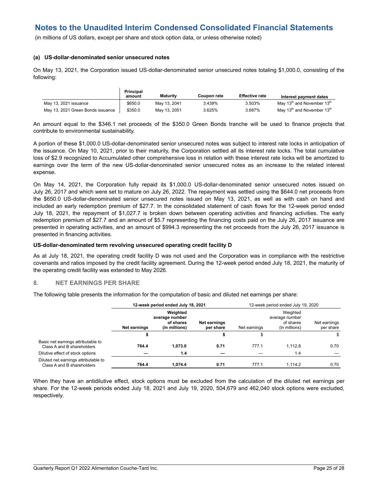(in millions of US dollars, except per share and stock option data, or unless otherwise noted)

#### **(a) US-dollar-denominated senior unsecured notes**

On May 13, 2021, the Corporation issued US-dollar-denominated senior unsecured notes totaling \$1,000.0, consisting of the following:

|                                   | <b>Principal</b><br>amount | Maturity     | Coupon rate | <b>Effective rate</b> | Interest payment dates                             |
|-----------------------------------|----------------------------|--------------|-------------|-----------------------|----------------------------------------------------|
| May 13, 2021 issuance             | \$650.0                    | May 13, 2041 | 3.439%      | 3.503%                | May 13 <sup>th</sup> and November 13 <sup>th</sup> |
| May 13, 2021 Green Bonds issuance | \$350.0                    | May 13, 2051 | 3.625%      | 3.687%                | May 13 <sup>th</sup> and November 13 <sup>th</sup> |

An amount equal to the \$346.1 net proceeds of the \$350.0 Green Bonds tranche will be used to finance projects that contribute to environmental sustainability.

A portion of these \$1,000.0 US-dollar-denominated senior unsecured notes was subject to interest rate locks in anticipation of the issuance. On May 10, 2021, prior to their maturity, the Corporation settled all its interest rate locks. The total cumulative loss of \$2.9 recognized to Accumulated other comprehensive loss in relation with these interest rate locks will be amortized to earnings over the term of the new US-dollar-denominated senior unsecured notes as an increase to the related interest expense.

On May 14, 2021, the Corporation fully repaid its \$1,000.0 US-dollar-denominated senior unsecured notes issued on July 26, 2017 and which were set to mature on July 26, 2022. The repayment was settled using the \$644.0 net proceeds from the \$650.0 US-dollar-denominated senior unsecured notes issued on May 13, 2021, as well as with cash on hand and included an early redemption premium of \$27.7. In the consolidated statement of cash flows for the 12-week period ended July 18, 2021, the repayment of \$1,027.7 is broken down between operating activities and financing activities. The early redemption premium of \$27.7 and an amount of \$5.7 representing the financing costs paid on the July 26, 2017 issuance are presented in operating activities, and an amount of \$994.3 representing the net proceeds from the July 26, 2017 issuance is presented in financing activities.

#### **US-dollar-denominated term revolving unsecured operating credit facility D**

As at July 18, 2021, the operating credit facility D was not used and the Corporation was in compliance with the restrictive covenants and ratios imposed by the credit facility agreement. During the 12-week period ended July 18, 2021, the maturity of the operating credit facility was extended to May 2026.

#### **8. NET EARNINGS PER SHARE**

The following table presents the information for the computation of basic and diluted net earnings per share:

|                                                                    |                                       | 12-week period ended July 18, 2021 |                                  |              | 12-week period ended July 19, 2020                       |                           |  |  |
|--------------------------------------------------------------------|---------------------------------------|------------------------------------|----------------------------------|--------------|----------------------------------------------------------|---------------------------|--|--|
|                                                                    | average number<br><b>Net earnings</b> |                                    | <b>Net earnings</b><br>per share | Net earnings | Weighted<br>average number<br>of shares<br>(in millions) | Net earnings<br>per share |  |  |
|                                                                    | \$                                    |                                    |                                  |              |                                                          | \$                        |  |  |
| Basic net earnings attributable to<br>Class A and B shareholders   | 764.4                                 | 1.073.0                            | 0.71                             | 777.1        | 1.112.8                                                  | 0.70                      |  |  |
| Dilutive effect of stock options                                   |                                       | 1.4                                |                                  |              | 1.4                                                      |                           |  |  |
| Diluted net earnings attributable to<br>Class A and B shareholders | 764.4                                 | 1.074.4                            | 0.71                             | 777.1        | 1.114.2                                                  | 0.70                      |  |  |

When they have an antidilutive effect, stock options must be excluded from the calculation of the diluted net earnings per share. For the 12-week periods ended July 18, 2021 and July 19, 2020, 504,679 and 462,040 stock options were excluded, respectively.

 $\mathcal{L}_\mathcal{L} = \mathcal{L}_\mathcal{L} = \mathcal{L}_\mathcal{L} = \mathcal{L}_\mathcal{L} = \mathcal{L}_\mathcal{L} = \mathcal{L}_\mathcal{L} = \mathcal{L}_\mathcal{L} = \mathcal{L}_\mathcal{L} = \mathcal{L}_\mathcal{L} = \mathcal{L}_\mathcal{L} = \mathcal{L}_\mathcal{L} = \mathcal{L}_\mathcal{L} = \mathcal{L}_\mathcal{L} = \mathcal{L}_\mathcal{L} = \mathcal{L}_\mathcal{L} = \mathcal{L}_\mathcal{L} = \mathcal{L}_\mathcal{L}$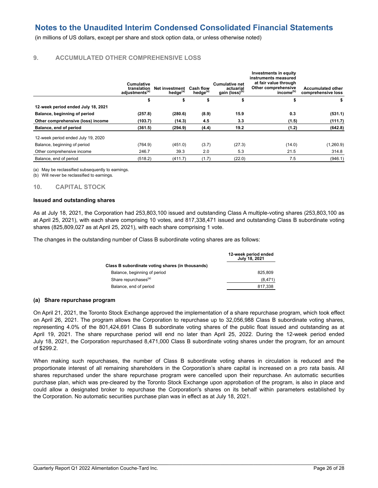(in millions of US dollars, except per share and stock option data, or unless otherwise noted)

## **9. ACCUMULATED OTHER COMPREHENSIVE LOSS**

|                                    | Cumulative<br>translation<br>adjustments <sup>(a)</sup> | Net investment<br>hedae <sup>(a)</sup> | <b>Cash flow</b><br>hedge <sup>(a)</sup> | <b>Cumulative net</b><br>actuarial<br>gain (loss) <sup>(b)</sup> | Investments in equity<br>instruments measured<br>at fair value through<br>Other comprehensive<br>income <sup>(b)</sup> | <b>Accumulated other</b><br>comprehensive loss |
|------------------------------------|---------------------------------------------------------|----------------------------------------|------------------------------------------|------------------------------------------------------------------|------------------------------------------------------------------------------------------------------------------------|------------------------------------------------|
|                                    | \$                                                      | \$                                     | \$                                       | \$                                                               | \$                                                                                                                     | \$                                             |
| 12-week period ended July 18, 2021 |                                                         |                                        |                                          |                                                                  |                                                                                                                        |                                                |
| Balance, beginning of period       | (257.8)                                                 | (280.6)                                | (8.9)                                    | 15.9                                                             | 0.3                                                                                                                    | (531.1)                                        |
| Other comprehensive (loss) income  | (103.7)                                                 | (14.3)                                 | 4.5                                      | 3.3                                                              | (1.5)                                                                                                                  | (111.7)                                        |
| Balance, end of period             | (361.5)                                                 | (294.9)                                | (4.4)                                    | 19.2                                                             | (1.2)                                                                                                                  | (642.8)                                        |
| 12-week period ended July 19, 2020 |                                                         |                                        |                                          |                                                                  |                                                                                                                        |                                                |
| Balance, beginning of period       | (764.9)                                                 | (451.0)                                | (3.7)                                    | (27.3)                                                           | (14.0)                                                                                                                 | (1,260.9)                                      |
| Other comprehensive income         | 246.7                                                   | 39.3                                   | 2.0                                      | 5.3                                                              | 21.5                                                                                                                   | 314.8                                          |
| Balance, end of period             | (518.2)                                                 | (411.7)                                | (1.7)                                    | (22.0)                                                           | 7.5                                                                                                                    | (946.1)                                        |

(a) May be reclassified subsequently to earnings.

(b) Will never be reclassified to earnings.

**10. CAPITAL STOCK**

#### **Issued and outstanding shares**

As at July 18, 2021, the Corporation had 253,803,100 issued and outstanding Class A multiple-voting shares (253,803,100 as at April 25, 2021), with each share comprising 10 votes, and 817,338,471 issued and outstanding Class B subordinate voting shares (825,809,027 as at April 25, 2021), with each share comprising 1 vote.

The changes in the outstanding number of Class B subordinate voting shares are as follows:

|                                                  | 12-week period ended<br>July 18, 2021 |
|--------------------------------------------------|---------------------------------------|
| Class B subordinate voting shares (in thousands) |                                       |
| Balance, beginning of period                     | 825.809                               |
| Share repurchases <sup>(a)</sup>                 | (8, 471)                              |
| Balance, end of period                           | 817.338                               |

#### **(a) Share repurchase program**

On April 21, 2021, the Toronto Stock Exchange approved the implementation of a share repurchase program, which took effect on April 26, 2021. The program allows the Corporation to repurchase up to 32,056,988 Class B subordinate voting shares, representing 4.0% of the 801,424,691 Class B subordinate voting shares of the public float issued and outstanding as at April 19, 2021. The share repurchase period will end no later than April 25, 2022. During the 12-week period ended July 18, 2021, the Corporation repurchased 8,471,000 Class B subordinate voting shares under the program, for an amount of \$299.2.

When making such repurchases, the number of Class B subordinate voting shares in circulation is reduced and the proportionate interest of all remaining shareholders in the Corporation's share capital is increased on a pro rata basis. All shares repurchased under the share repurchase program were cancelled upon their repurchase. An automatic securities purchase plan, which was pre-cleared by the Toronto Stock Exchange upon approbation of the program, is also in place and could allow a designated broker to repurchase the Corporation's shares on its behalf within parameters established by the Corporation. No automatic securities purchase plan was in effect as at July 18, 2021.

 $\mathcal{L}_\mathcal{L} = \mathcal{L}_\mathcal{L} = \mathcal{L}_\mathcal{L} = \mathcal{L}_\mathcal{L} = \mathcal{L}_\mathcal{L} = \mathcal{L}_\mathcal{L} = \mathcal{L}_\mathcal{L} = \mathcal{L}_\mathcal{L} = \mathcal{L}_\mathcal{L} = \mathcal{L}_\mathcal{L} = \mathcal{L}_\mathcal{L} = \mathcal{L}_\mathcal{L} = \mathcal{L}_\mathcal{L} = \mathcal{L}_\mathcal{L} = \mathcal{L}_\mathcal{L} = \mathcal{L}_\mathcal{L} = \mathcal{L}_\mathcal{L}$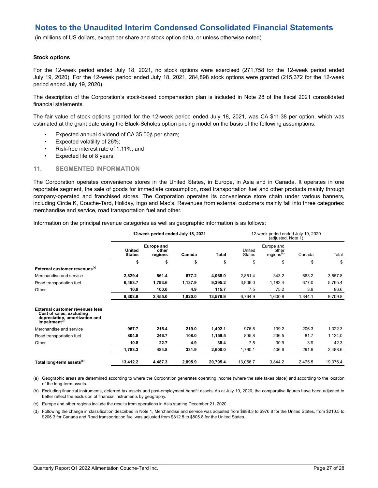(in millions of US dollars, except per share and stock option data, or unless otherwise noted)

#### **Stock options**

For the 12-week period ended July 18, 2021, no stock options were exercised (271,758 for the 12-week period ended July 19, 2020). For the 12-week period ended July 18, 2021, 284,898 stock options were granted (215,372 for the 12-week period ended July 19, 2020).

The description of the Corporation's stock-based compensation plan is included in Note 28 of the fiscal 2021 consolidated financial statements.

The fair value of stock options granted for the 12-week period ended July 18, 2021, was CA \$11.38 per option, which was estimated at the grant date using the Black-Scholes option pricing model on the basis of the following assumptions:

- Expected annual dividend of CA  $35.00¢$  per share;
- Expected volatility of 26%;
- Risk-free interest rate of 1.11%; and
- Expected life of 8 years.

#### **11. SEGMENTED INFORMATION**

The Corporation operates convenience stores in the United States, in Europe, in Asia and in Canada. It operates in one reportable segment, the sale of goods for immediate consumption, road transportation fuel and other products mainly through company-operated and franchised stores. The Corporation operates its convenience store chain under various banners, including Circle K, Couche-Tard, Holiday, Ingo and Mac's. Revenues from external customers mainly fall into three categories: merchandise and service, road transportation fuel and other.

Information on the principal revenue categories as well as geographic information is as follows:

|                                                                                                                                   | 12-week period ended July 18, 2021 |                                                                                     |                                                         |          |          | 12-week period ended July 19, 2020<br>(adjusted, Note 1) |         |          |
|-----------------------------------------------------------------------------------------------------------------------------------|------------------------------------|-------------------------------------------------------------------------------------|---------------------------------------------------------|----------|----------|----------------------------------------------------------|---------|----------|
|                                                                                                                                   | United<br><b>States</b>            | <b>Europe and</b><br>United<br>other<br>Total<br>Canada<br><b>States</b><br>regions | Europe and<br>other<br>regions <sup>(c)</sup><br>Canada | Total    |          |                                                          |         |          |
|                                                                                                                                   | \$                                 | \$                                                                                  | \$                                                      | \$       | \$       | \$                                                       | \$      | \$       |
| External customer revenues <sup>(a)</sup>                                                                                         |                                    |                                                                                     |                                                         |          |          |                                                          |         |          |
| Merchandise and service                                                                                                           | 2,829.4                            | 561.4                                                                               | 677.2                                                   | 4,068.0  | 2,851.4  | 343.2                                                    | 663.2   | 3,857.8  |
| Road transportation fuel                                                                                                          | 6,463.7                            | 1,793.6                                                                             | 1,137.9                                                 | 9,395.2  | 3,906.0  | 1,182.4                                                  | 677.0   | 5,765.4  |
| Other                                                                                                                             | 10.8                               | 100.0                                                                               | 4.9                                                     | 115.7    | 7.5      | 75.2                                                     | 3.9     | 86.6     |
|                                                                                                                                   | 9,303.9                            | 2.455.0                                                                             | 1,820.0                                                 | 13,578.9 | 6,764.9  | 1,600.8                                                  | 1,344.1 | 9,709.8  |
| <b>External customer revenues less</b><br>Cost of sales, excluding<br>depreciation, amortization and<br>impairment <sup>(d)</sup> |                                    |                                                                                     |                                                         |          |          |                                                          |         |          |
| Merchandise and service                                                                                                           | 967.7                              | 215.4                                                                               | 219.0                                                   | 1,402.1  | 976.8    | 139.2                                                    | 206.3   | 1,322.3  |
| Road transportation fuel                                                                                                          | 804.8                              | 246.7                                                                               | 108.0                                                   | 1,159.5  | 805.8    | 236.5                                                    | 81.7    | 1,124.0  |
| Other                                                                                                                             | 10.8                               | 22.7                                                                                | 4.9                                                     | 38.4     | 7.5      | 30.9                                                     | 3.9     | 42.3     |
|                                                                                                                                   | 1,783.3                            | 484.8                                                                               | 331.9                                                   | 2,600.0  | 1,790.1  | 406.6                                                    | 291.9   | 2,488.6  |
| Total long-term assets <sup>(b)</sup>                                                                                             | 13,412.2                           | 4,487.3                                                                             | 2,895.9                                                 | 20,795.4 | 13,056.7 | 3,844.2                                                  | 2,475.5 | 19,376.4 |

(a) Geographic areas are determined according to where the Corporation generates operating income (where the sale takes place) and according to the location of the long-term assets.

(b) Excluding financial instruments, deferred tax assets and post-employment benefit assets. As at July 19, 2020, the comparative figures have been adjusted to better reflect the exclusion of financial instruments by geography.

(c) Europe and other regions include the results from operations in Asia starting December 21, 2020.

(d) Following the change in classification described in Note 1, Merchandise and service was adjusted from \$988.3 to \$976.8 for the United States, from \$210.5 to \$206.3 for Canada and Road transportation fuel was adjusted from \$812.5 to \$805.8 for the United States.

 $\mathcal{L}_\mathcal{L} = \mathcal{L}_\mathcal{L} = \mathcal{L}_\mathcal{L} = \mathcal{L}_\mathcal{L} = \mathcal{L}_\mathcal{L} = \mathcal{L}_\mathcal{L} = \mathcal{L}_\mathcal{L} = \mathcal{L}_\mathcal{L} = \mathcal{L}_\mathcal{L} = \mathcal{L}_\mathcal{L} = \mathcal{L}_\mathcal{L} = \mathcal{L}_\mathcal{L} = \mathcal{L}_\mathcal{L} = \mathcal{L}_\mathcal{L} = \mathcal{L}_\mathcal{L} = \mathcal{L}_\mathcal{L} = \mathcal{L}_\mathcal{L}$